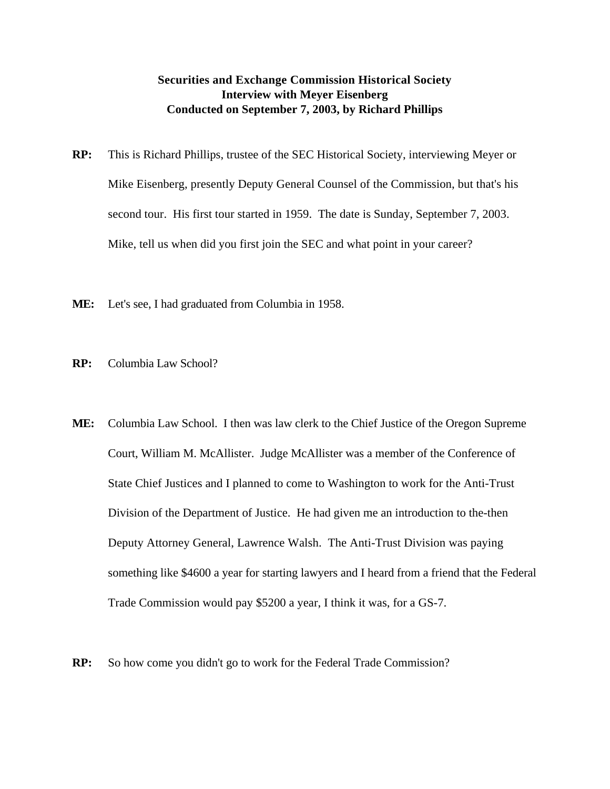## **Securities and Exchange Commission Historical Society Interview with Meyer Eisenberg Conducted on September 7, 2003, by Richard Phillips**

- **RP:** This is Richard Phillips, trustee of the SEC Historical Society, interviewing Meyer or Mike Eisenberg, presently Deputy General Counsel of the Commission, but that's his second tour. His first tour started in 1959. The date is Sunday, September 7, 2003. Mike, tell us when did you first join the SEC and what point in your career?
- **ME:** Let's see, I had graduated from Columbia in 1958.
- **RP:** Columbia Law School?
- **ME:** Columbia Law School. I then was law clerk to the Chief Justice of the Oregon Supreme Court, William M. McAllister. Judge McAllister was a member of the Conference of State Chief Justices and I planned to come to Washington to work for the Anti-Trust Division of the Department of Justice. He had given me an introduction to the-then Deputy Attorney General, Lawrence Walsh. The Anti-Trust Division was paying something like \$4600 a year for starting lawyers and I heard from a friend that the Federal Trade Commission would pay \$5200 a year, I think it was, for a GS-7.
- **RP:** So how come you didn't go to work for the Federal Trade Commission?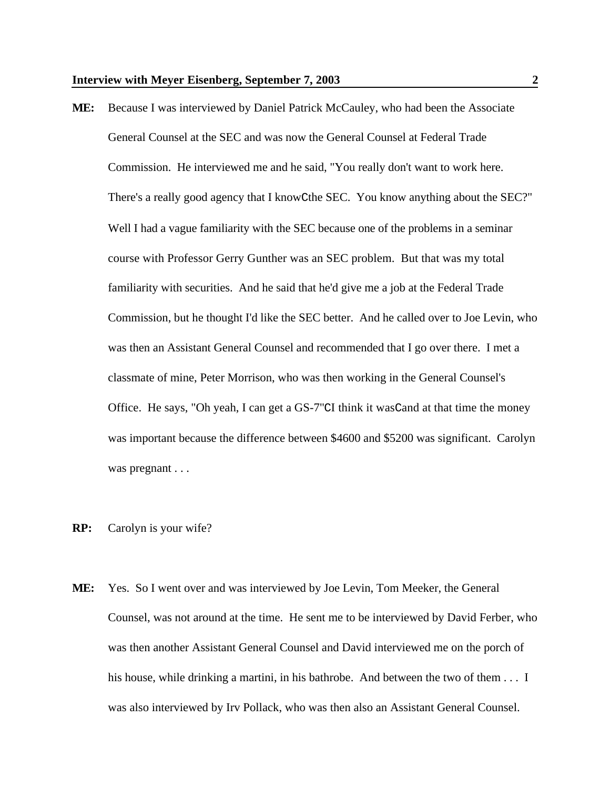**ME:** Because I was interviewed by Daniel Patrick McCauley, who had been the Associate General Counsel at the SEC and was now the General Counsel at Federal Trade Commission. He interviewed me and he said, "You really don't want to work here. There's a really good agency that I knowCthe SEC. You know anything about the SEC?" Well I had a vague familiarity with the SEC because one of the problems in a seminar course with Professor Gerry Gunther was an SEC problem. But that was my total familiarity with securities. And he said that he'd give me a job at the Federal Trade Commission, but he thought I'd like the SEC better. And he called over to Joe Levin, who was then an Assistant General Counsel and recommended that I go over there. I met a classmate of mine, Peter Morrison, who was then working in the General Counsel's Office. He says, "Oh yeah, I can get a GS-7"CI think it wasCand at that time the money was important because the difference between \$4600 and \$5200 was significant. Carolyn was pregnant . . .

### **RP:** Carolyn is your wife?

**ME:** Yes. So I went over and was interviewed by Joe Levin, Tom Meeker, the General Counsel, was not around at the time. He sent me to be interviewed by David Ferber, who was then another Assistant General Counsel and David interviewed me on the porch of his house, while drinking a martini, in his bathrobe. And between the two of them . . . I was also interviewed by Irv Pollack, who was then also an Assistant General Counsel.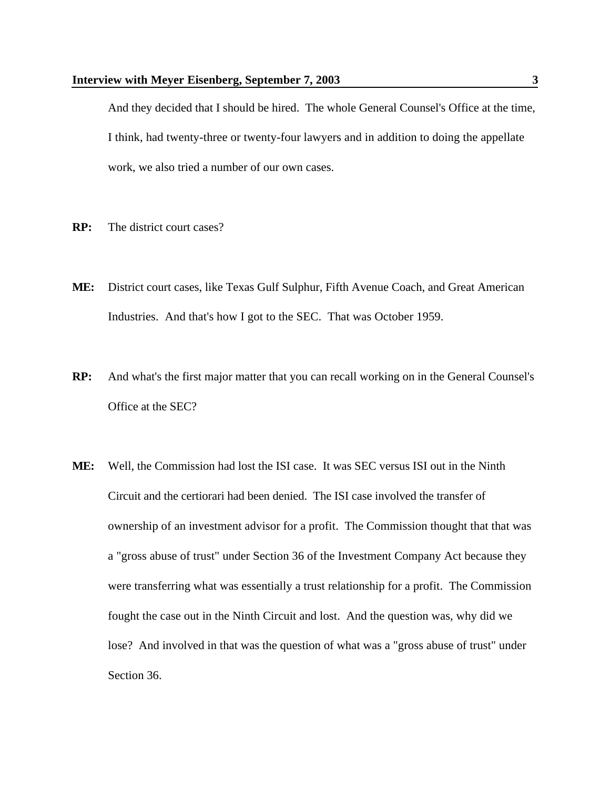And they decided that I should be hired. The whole General Counsel's Office at the time, I think, had twenty-three or twenty-four lawyers and in addition to doing the appellate work, we also tried a number of our own cases.

- **RP:** The district court cases?
- **ME:** District court cases, like Texas Gulf Sulphur, Fifth Avenue Coach, and Great American Industries. And that's how I got to the SEC. That was October 1959.
- **RP:** And what's the first major matter that you can recall working on in the General Counsel's Office at the SEC?
- **ME:** Well, the Commission had lost the ISI case. It was SEC versus ISI out in the Ninth Circuit and the certiorari had been denied. The ISI case involved the transfer of ownership of an investment advisor for a profit. The Commission thought that that was a "gross abuse of trust" under Section 36 of the Investment Company Act because they were transferring what was essentially a trust relationship for a profit. The Commission fought the case out in the Ninth Circuit and lost. And the question was, why did we lose? And involved in that was the question of what was a "gross abuse of trust" under Section 36.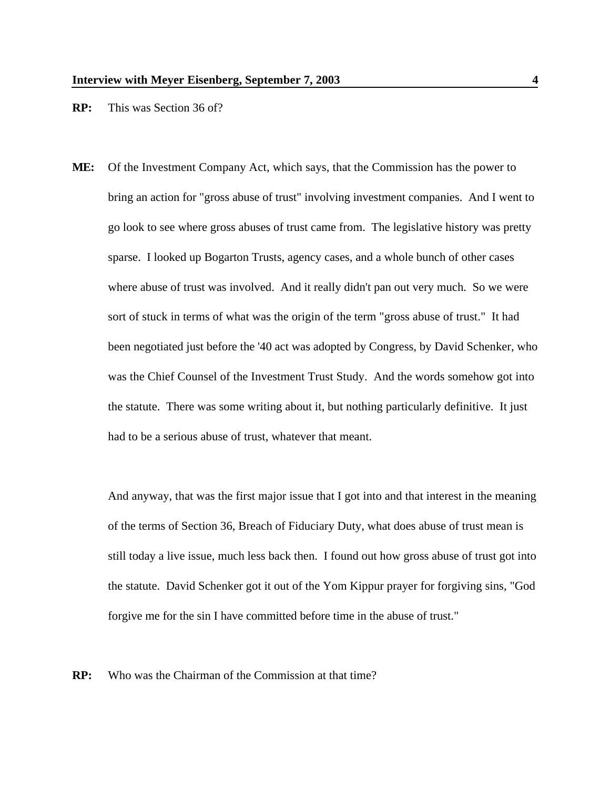#### **RP:** This was Section 36 of?

**ME:** Of the Investment Company Act, which says, that the Commission has the power to bring an action for "gross abuse of trust" involving investment companies. And I went to go look to see where gross abuses of trust came from. The legislative history was pretty sparse. I looked up Bogarton Trusts, agency cases, and a whole bunch of other cases where abuse of trust was involved. And it really didn't pan out very much. So we were sort of stuck in terms of what was the origin of the term "gross abuse of trust." It had been negotiated just before the '40 act was adopted by Congress, by David Schenker, who was the Chief Counsel of the Investment Trust Study. And the words somehow got into the statute. There was some writing about it, but nothing particularly definitive. It just had to be a serious abuse of trust, whatever that meant.

And anyway, that was the first major issue that I got into and that interest in the meaning of the terms of Section 36, Breach of Fiduciary Duty, what does abuse of trust mean is still today a live issue, much less back then. I found out how gross abuse of trust got into the statute. David Schenker got it out of the Yom Kippur prayer for forgiving sins, "God forgive me for the sin I have committed before time in the abuse of trust."

**RP:** Who was the Chairman of the Commission at that time?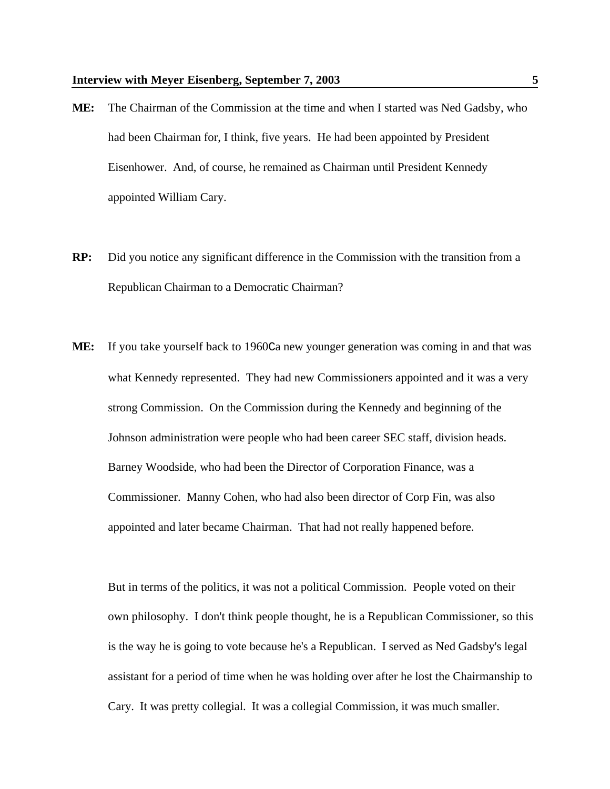- **ME:** The Chairman of the Commission at the time and when I started was Ned Gadsby, who had been Chairman for, I think, five years. He had been appointed by President Eisenhower. And, of course, he remained as Chairman until President Kennedy appointed William Cary.
- **RP:** Did you notice any significant difference in the Commission with the transition from a Republican Chairman to a Democratic Chairman?
- **ME:** If you take yourself back to 1960Ca new younger generation was coming in and that was what Kennedy represented. They had new Commissioners appointed and it was a very strong Commission. On the Commission during the Kennedy and beginning of the Johnson administration were people who had been career SEC staff, division heads. Barney Woodside, who had been the Director of Corporation Finance, was a Commissioner. Manny Cohen, who had also been director of Corp Fin, was also appointed and later became Chairman. That had not really happened before.

But in terms of the politics, it was not a political Commission. People voted on their own philosophy. I don't think people thought, he is a Republican Commissioner, so this is the way he is going to vote because he's a Republican. I served as Ned Gadsby's legal assistant for a period of time when he was holding over after he lost the Chairmanship to Cary. It was pretty collegial. It was a collegial Commission, it was much smaller.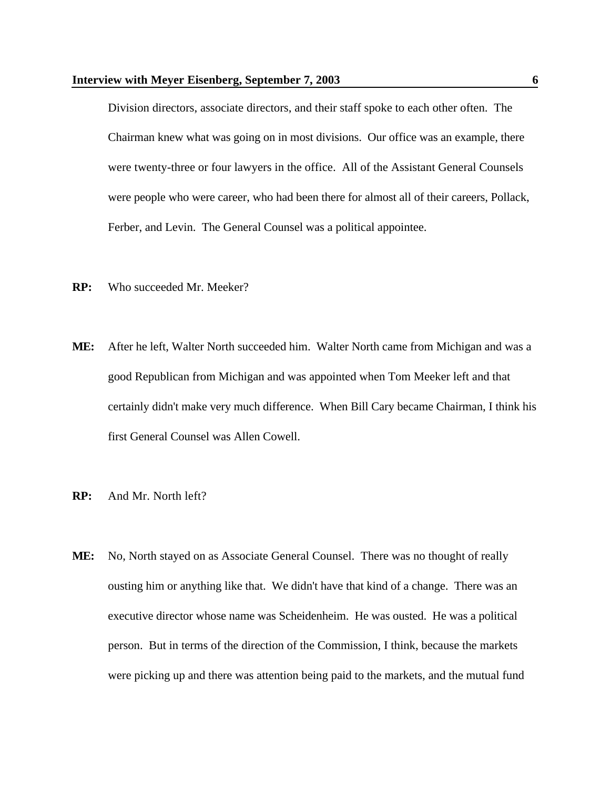Division directors, associate directors, and their staff spoke to each other often. The Chairman knew what was going on in most divisions. Our office was an example, there were twenty-three or four lawyers in the office. All of the Assistant General Counsels were people who were career, who had been there for almost all of their careers, Pollack, Ferber, and Levin. The General Counsel was a political appointee.

- **RP:** Who succeeded Mr. Meeker?
- **ME:** After he left, Walter North succeeded him. Walter North came from Michigan and was a good Republican from Michigan and was appointed when Tom Meeker left and that certainly didn't make very much difference. When Bill Cary became Chairman, I think his first General Counsel was Allen Cowell.
- **RP:** And Mr. North left?
- **ME:** No, North stayed on as Associate General Counsel. There was no thought of really ousting him or anything like that. We didn't have that kind of a change. There was an executive director whose name was Scheidenheim. He was ousted. He was a political person. But in terms of the direction of the Commission, I think, because the markets were picking up and there was attention being paid to the markets, and the mutual fund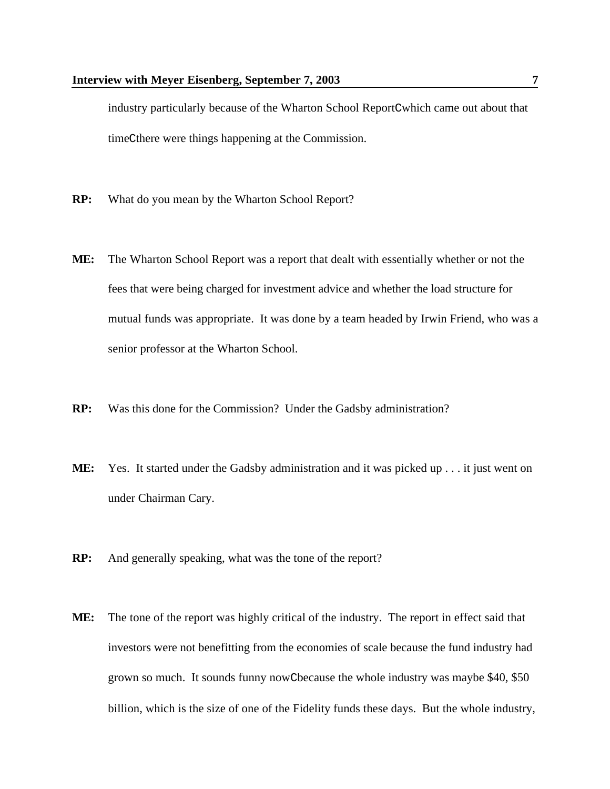industry particularly because of the Wharton School ReportCwhich came out about that timeCthere were things happening at the Commission.

- **RP:** What do you mean by the Wharton School Report?
- **ME:** The Wharton School Report was a report that dealt with essentially whether or not the fees that were being charged for investment advice and whether the load structure for mutual funds was appropriate. It was done by a team headed by Irwin Friend, who was a senior professor at the Wharton School.
- **RP:** Was this done for the Commission? Under the Gadsby administration?
- **ME:** Yes. It started under the Gadsby administration and it was picked up . . . it just went on under Chairman Cary.
- **RP:** And generally speaking, what was the tone of the report?
- **ME:** The tone of the report was highly critical of the industry. The report in effect said that investors were not benefitting from the economies of scale because the fund industry had grown so much. It sounds funny nowCbecause the whole industry was maybe \$40, \$50 billion, which is the size of one of the Fidelity funds these days. But the whole industry,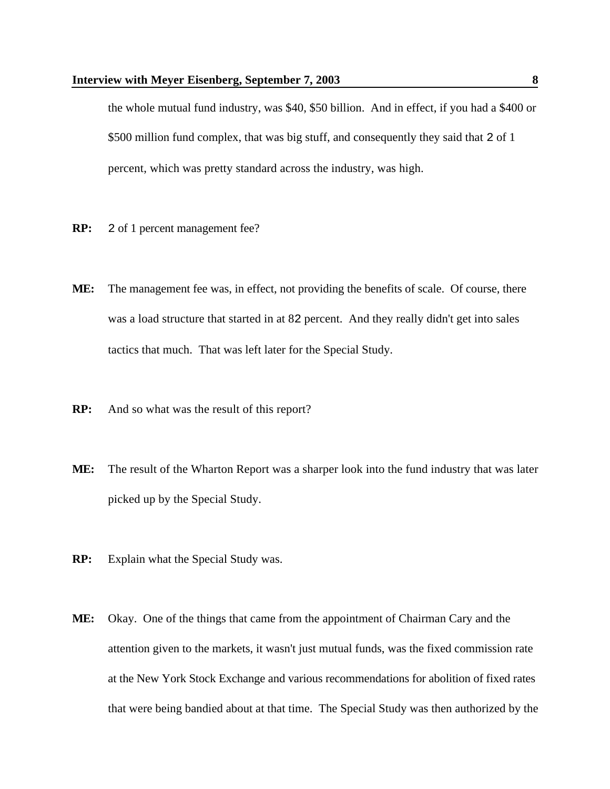the whole mutual fund industry, was \$40, \$50 billion. And in effect, if you had a \$400 or \$500 million fund complex, that was big stuff, and consequently they said that 2 of 1 percent, which was pretty standard across the industry, was high.

- **RP:** 2 of 1 percent management fee?
- **ME:** The management fee was, in effect, not providing the benefits of scale. Of course, there was a load structure that started in at 82 percent. And they really didn't get into sales tactics that much. That was left later for the Special Study.
- **RP:** And so what was the result of this report?
- **ME:** The result of the Wharton Report was a sharper look into the fund industry that was later picked up by the Special Study.
- **RP:** Explain what the Special Study was.
- **ME:** Okay. One of the things that came from the appointment of Chairman Cary and the attention given to the markets, it wasn't just mutual funds, was the fixed commission rate at the New York Stock Exchange and various recommendations for abolition of fixed rates that were being bandied about at that time. The Special Study was then authorized by the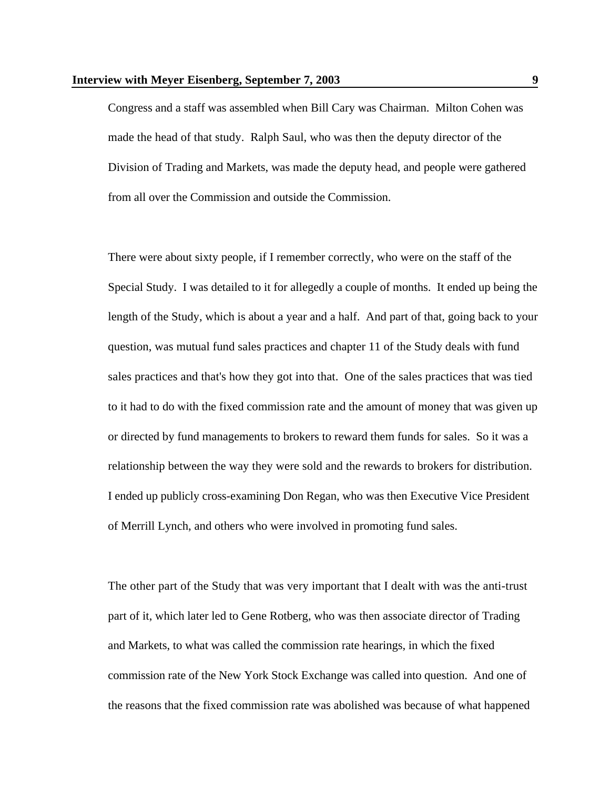Congress and a staff was assembled when Bill Cary was Chairman. Milton Cohen was made the head of that study. Ralph Saul, who was then the deputy director of the Division of Trading and Markets, was made the deputy head, and people were gathered from all over the Commission and outside the Commission.

There were about sixty people, if I remember correctly, who were on the staff of the Special Study. I was detailed to it for allegedly a couple of months. It ended up being the length of the Study, which is about a year and a half. And part of that, going back to your question, was mutual fund sales practices and chapter 11 of the Study deals with fund sales practices and that's how they got into that. One of the sales practices that was tied to it had to do with the fixed commission rate and the amount of money that was given up or directed by fund managements to brokers to reward them funds for sales. So it was a relationship between the way they were sold and the rewards to brokers for distribution. I ended up publicly cross-examining Don Regan, who was then Executive Vice President of Merrill Lynch, and others who were involved in promoting fund sales.

The other part of the Study that was very important that I dealt with was the anti-trust part of it, which later led to Gene Rotberg, who was then associate director of Trading and Markets, to what was called the commission rate hearings, in which the fixed commission rate of the New York Stock Exchange was called into question. And one of the reasons that the fixed commission rate was abolished was because of what happened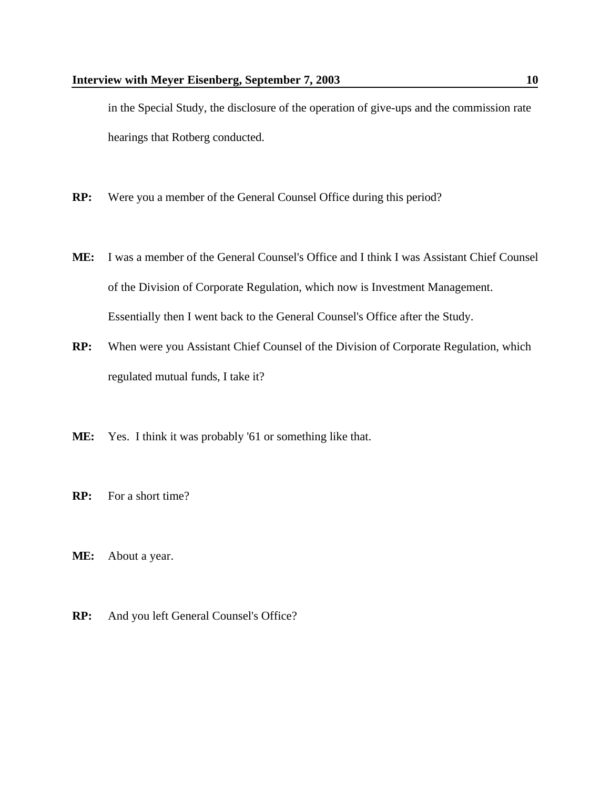in the Special Study, the disclosure of the operation of give-ups and the commission rate hearings that Rotberg conducted.

- **RP:** Were you a member of the General Counsel Office during this period?
- **ME:** I was a member of the General Counsel's Office and I think I was Assistant Chief Counsel of the Division of Corporate Regulation, which now is Investment Management. Essentially then I went back to the General Counsel's Office after the Study.
- **RP:** When were you Assistant Chief Counsel of the Division of Corporate Regulation, which regulated mutual funds, I take it?
- **ME:** Yes. I think it was probably '61 or something like that.
- **RP:** For a short time?
- **ME:** About a year.
- **RP:** And you left General Counsel's Office?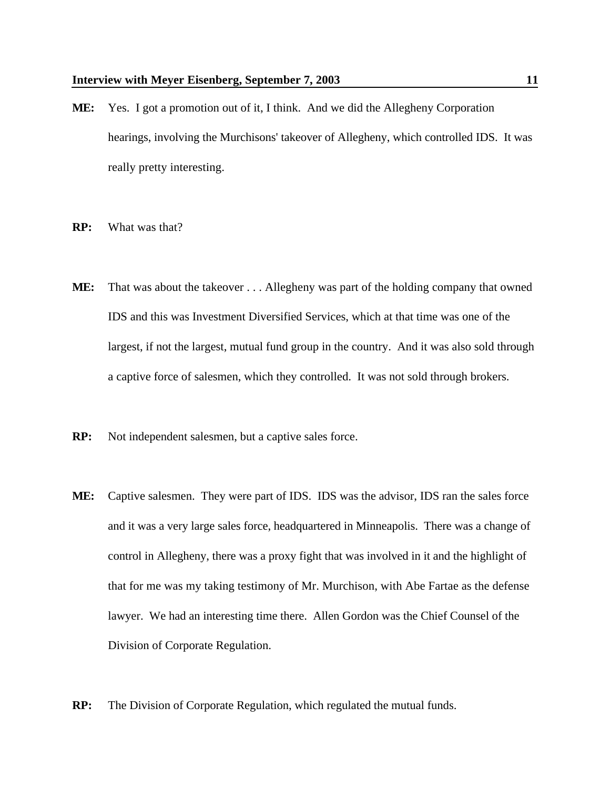- **ME:** Yes. I got a promotion out of it, I think. And we did the Allegheny Corporation hearings, involving the Murchisons' takeover of Allegheny, which controlled IDS. It was really pretty interesting.
- **RP:** What was that?
- **ME:** That was about the takeover . . . Allegheny was part of the holding company that owned IDS and this was Investment Diversified Services, which at that time was one of the largest, if not the largest, mutual fund group in the country. And it was also sold through a captive force of salesmen, which they controlled. It was not sold through brokers.
- **RP:** Not independent salesmen, but a captive sales force.
- **ME:** Captive salesmen. They were part of IDS. IDS was the advisor, IDS ran the sales force and it was a very large sales force, headquartered in Minneapolis. There was a change of control in Allegheny, there was a proxy fight that was involved in it and the highlight of that for me was my taking testimony of Mr. Murchison, with Abe Fartae as the defense lawyer. We had an interesting time there. Allen Gordon was the Chief Counsel of the Division of Corporate Regulation.
- **RP:** The Division of Corporate Regulation, which regulated the mutual funds.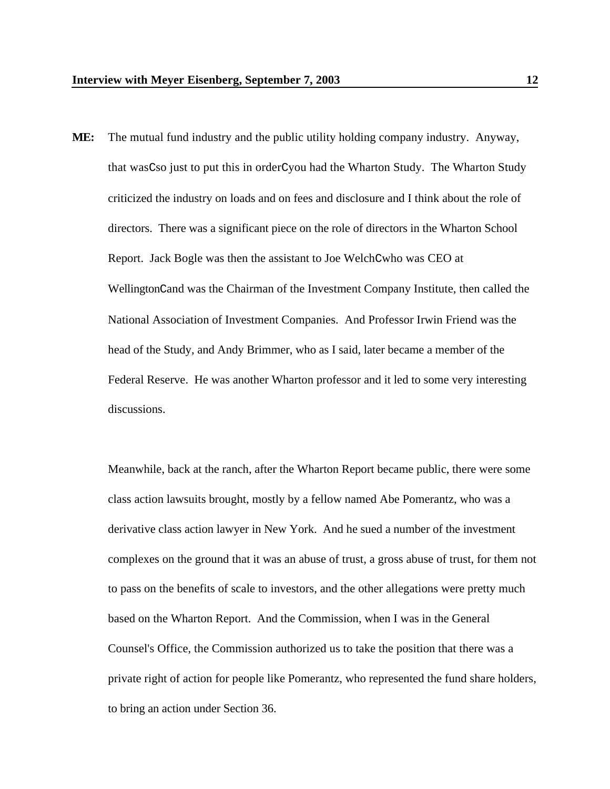**ME:** The mutual fund industry and the public utility holding company industry. Anyway, that wasCso just to put this in orderCyou had the Wharton Study. The Wharton Study criticized the industry on loads and on fees and disclosure and I think about the role of directors. There was a significant piece on the role of directors in the Wharton School Report. Jack Bogle was then the assistant to Joe WelchCwho was CEO at WellingtonCand was the Chairman of the Investment Company Institute, then called the National Association of Investment Companies. And Professor Irwin Friend was the head of the Study, and Andy Brimmer, who as I said, later became a member of the Federal Reserve. He was another Wharton professor and it led to some very interesting discussions.

Meanwhile, back at the ranch, after the Wharton Report became public, there were some class action lawsuits brought, mostly by a fellow named Abe Pomerantz, who was a derivative class action lawyer in New York. And he sued a number of the investment complexes on the ground that it was an abuse of trust, a gross abuse of trust, for them not to pass on the benefits of scale to investors, and the other allegations were pretty much based on the Wharton Report. And the Commission, when I was in the General Counsel's Office, the Commission authorized us to take the position that there was a private right of action for people like Pomerantz, who represented the fund share holders, to bring an action under Section 36.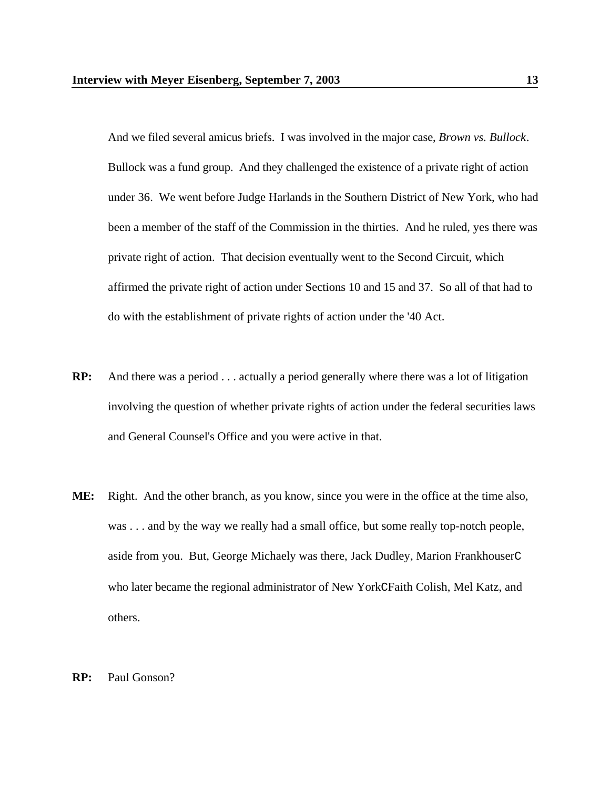And we filed several amicus briefs. I was involved in the major case, *Brown vs. Bullock*. Bullock was a fund group. And they challenged the existence of a private right of action under 36. We went before Judge Harlands in the Southern District of New York, who had been a member of the staff of the Commission in the thirties. And he ruled, yes there was private right of action. That decision eventually went to the Second Circuit, which affirmed the private right of action under Sections 10 and 15 and 37. So all of that had to do with the establishment of private rights of action under the '40 Act.

- **RP:** And there was a period . . . actually a period generally where there was a lot of litigation involving the question of whether private rights of action under the federal securities laws and General Counsel's Office and you were active in that.
- **ME:** Right. And the other branch, as you know, since you were in the office at the time also, was . . . and by the way we really had a small office, but some really top-notch people, aside from you. But, George Michaely was there, Jack Dudley, Marion FrankhouserC who later became the regional administrator of New YorkCFaith Colish, Mel Katz, and others.

#### **RP:** Paul Gonson?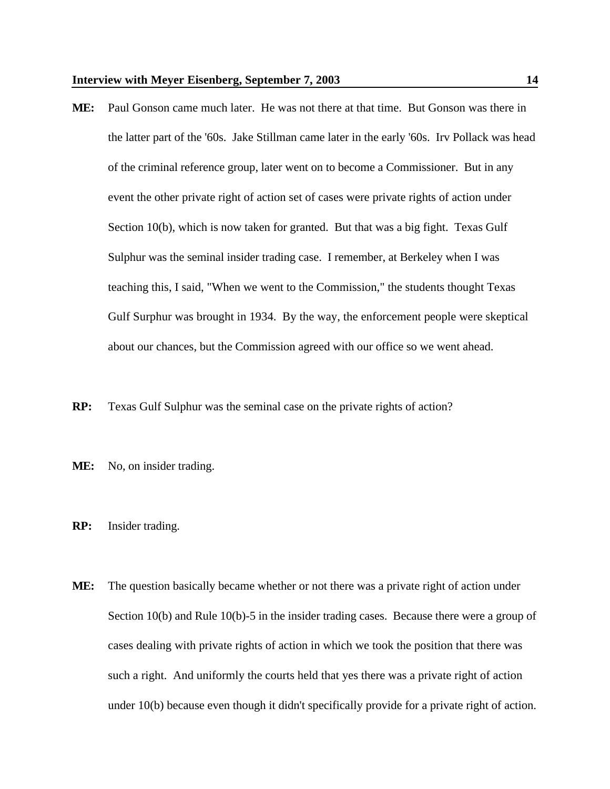- **ME:** Paul Gonson came much later. He was not there at that time. But Gonson was there in the latter part of the '60s. Jake Stillman came later in the early '60s. Irv Pollack was head of the criminal reference group, later went on to become a Commissioner. But in any event the other private right of action set of cases were private rights of action under Section 10(b), which is now taken for granted. But that was a big fight. Texas Gulf Sulphur was the seminal insider trading case. I remember, at Berkeley when I was teaching this, I said, "When we went to the Commission," the students thought Texas Gulf Surphur was brought in 1934. By the way, the enforcement people were skeptical about our chances, but the Commission agreed with our office so we went ahead.
- **RP:** Texas Gulf Sulphur was the seminal case on the private rights of action?
- ME: No, on insider trading.
- **RP:** Insider trading.
- **ME:** The question basically became whether or not there was a private right of action under Section 10(b) and Rule 10(b)-5 in the insider trading cases. Because there were a group of cases dealing with private rights of action in which we took the position that there was such a right. And uniformly the courts held that yes there was a private right of action under 10(b) because even though it didn't specifically provide for a private right of action.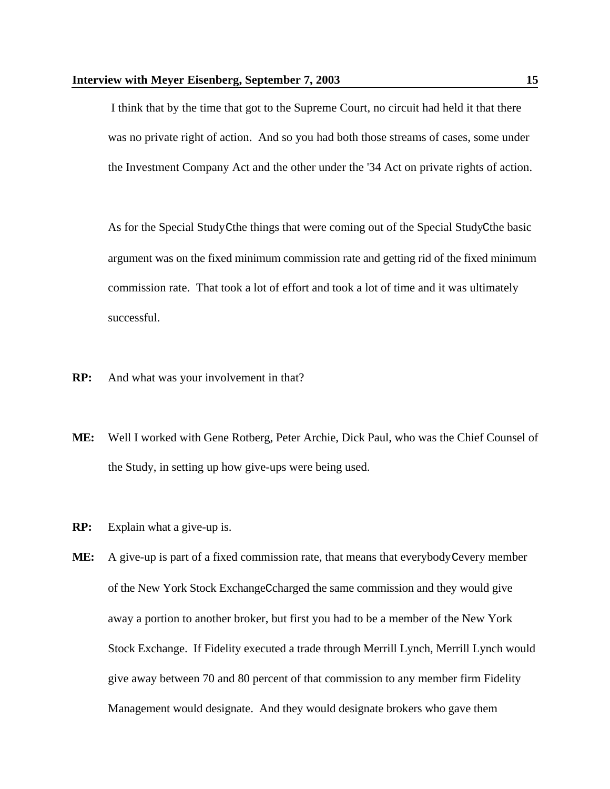I think that by the time that got to the Supreme Court, no circuit had held it that there was no private right of action. And so you had both those streams of cases, some under the Investment Company Act and the other under the '34 Act on private rights of action.

As for the Special StudyCthe things that were coming out of the Special StudyCthe basic argument was on the fixed minimum commission rate and getting rid of the fixed minimum commission rate. That took a lot of effort and took a lot of time and it was ultimately successful.

- **RP:** And what was your involvement in that?
- **ME:** Well I worked with Gene Rotberg, Peter Archie, Dick Paul, who was the Chief Counsel of the Study, in setting up how give-ups were being used.
- **RP:** Explain what a give-up is.
- ME: A give-up is part of a fixed commission rate, that means that everybody Cevery member of the New York Stock ExchangeCcharged the same commission and they would give away a portion to another broker, but first you had to be a member of the New York Stock Exchange. If Fidelity executed a trade through Merrill Lynch, Merrill Lynch would give away between 70 and 80 percent of that commission to any member firm Fidelity Management would designate. And they would designate brokers who gave them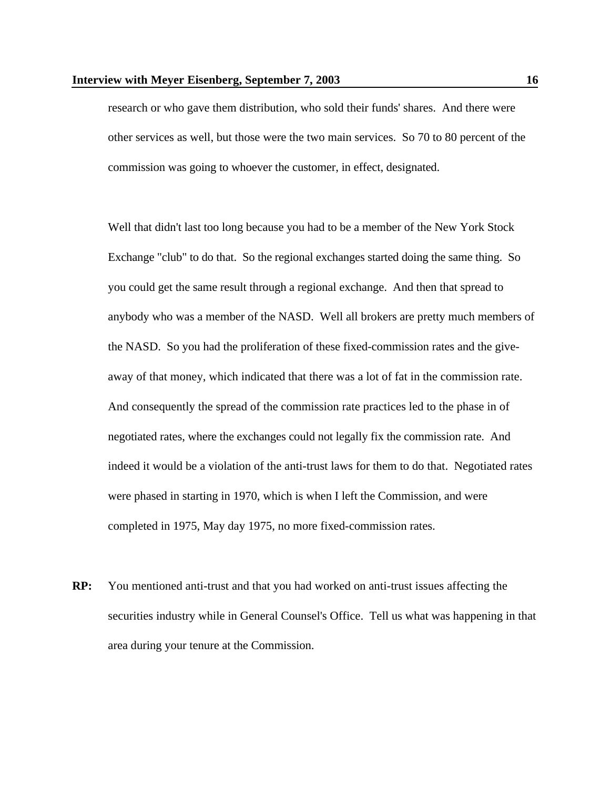research or who gave them distribution, who sold their funds' shares. And there were other services as well, but those were the two main services. So 70 to 80 percent of the commission was going to whoever the customer, in effect, designated.

Well that didn't last too long because you had to be a member of the New York Stock Exchange "club" to do that. So the regional exchanges started doing the same thing. So you could get the same result through a regional exchange. And then that spread to anybody who was a member of the NASD. Well all brokers are pretty much members of the NASD. So you had the proliferation of these fixed-commission rates and the giveaway of that money, which indicated that there was a lot of fat in the commission rate. And consequently the spread of the commission rate practices led to the phase in of negotiated rates, where the exchanges could not legally fix the commission rate. And indeed it would be a violation of the anti-trust laws for them to do that. Negotiated rates were phased in starting in 1970, which is when I left the Commission, and were completed in 1975, May day 1975, no more fixed-commission rates.

**RP:** You mentioned anti-trust and that you had worked on anti-trust issues affecting the securities industry while in General Counsel's Office. Tell us what was happening in that area during your tenure at the Commission.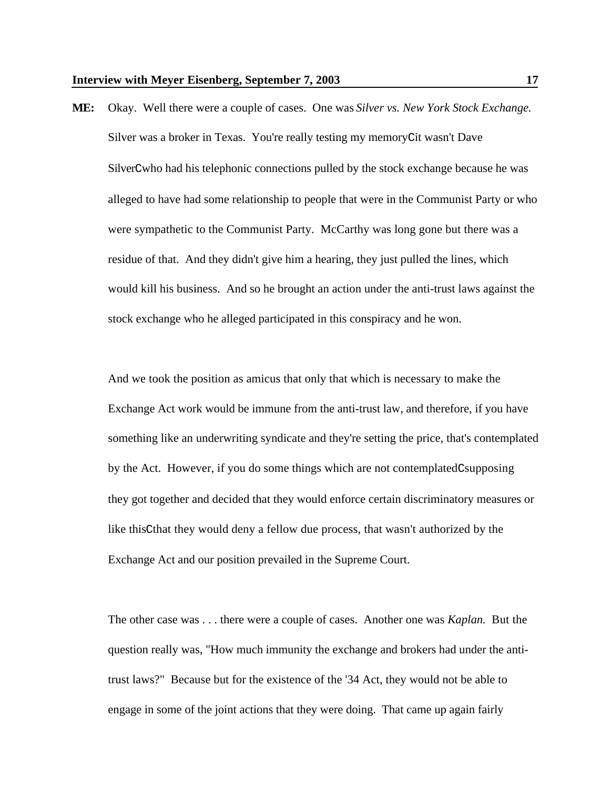**ME:** Okay. Well there were a couple of cases. One was *Silver vs. New York Stock Exchange*. Silver was a broker in Texas. You're really testing my memoryCit wasn't Dave SilverCwho had his telephonic connections pulled by the stock exchange because he was alleged to have had some relationship to people that were in the Communist Party or who were sympathetic to the Communist Party. McCarthy was long gone but there was a residue of that. And they didn't give him a hearing, they just pulled the lines, which would kill his business. And so he brought an action under the anti-trust laws against the stock exchange who he alleged participated in this conspiracy and he won.

And we took the position as amicus that only that which is necessary to make the Exchange Act work would be immune from the anti-trust law, and therefore, if you have something like an underwriting syndicate and they're setting the price, that's contemplated by the Act. However, if you do some things which are not contemplatedCsupposing they got together and decided that they would enforce certain discriminatory measures or like thisCthat they would deny a fellow due process, that wasn't authorized by the Exchange Act and our position prevailed in the Supreme Court.

The other case was . . . there were a couple of cases. Another one was *Kaplan*. But the question really was, "How much immunity the exchange and brokers had under the antitrust laws?" Because but for the existence of the '34 Act, they would not be able to engage in some of the joint actions that they were doing. That came up again fairly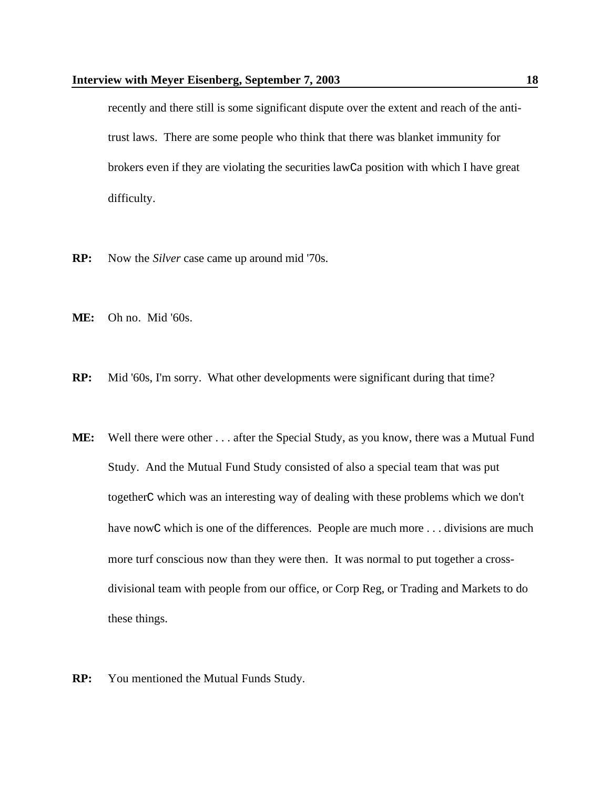recently and there still is some significant dispute over the extent and reach of the antitrust laws. There are some people who think that there was blanket immunity for brokers even if they are violating the securities lawCa position with which I have great difficulty.

- **RP:** Now the *Silver* case came up around mid '70s.
- **ME:** Oh no. Mid '60s.
- **RP:** Mid '60s, I'm sorry. What other developments were significant during that time?
- **ME:** Well there were other . . . after the Special Study, as you know, there was a Mutual Fund Study. And the Mutual Fund Study consisted of also a special team that was put togetherC which was an interesting way of dealing with these problems which we don't have nowC which is one of the differences. People are much more . . . divisions are much more turf conscious now than they were then. It was normal to put together a crossdivisional team with people from our office, or Corp Reg, or Trading and Markets to do these things.
- **RP:** You mentioned the Mutual Funds Study.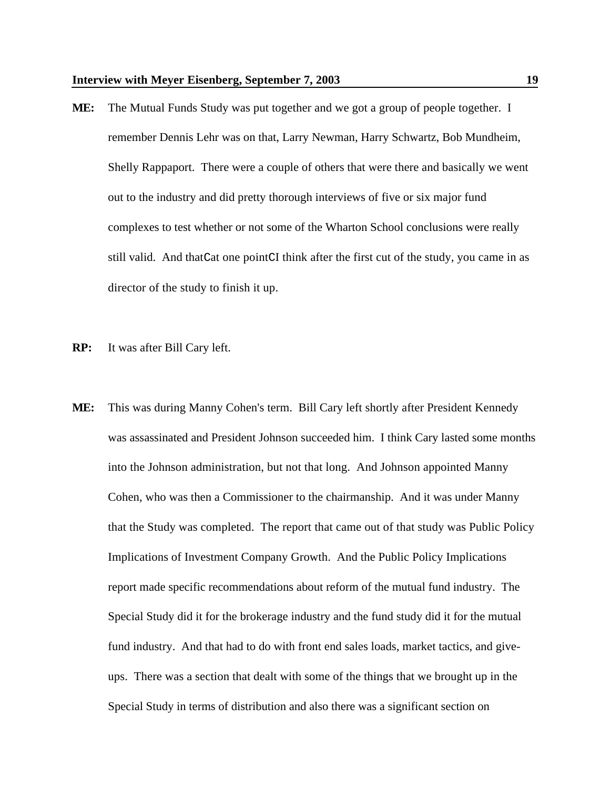- **ME:** The Mutual Funds Study was put together and we got a group of people together. I remember Dennis Lehr was on that, Larry Newman, Harry Schwartz, Bob Mundheim, Shelly Rappaport. There were a couple of others that were there and basically we went out to the industry and did pretty thorough interviews of five or six major fund complexes to test whether or not some of the Wharton School conclusions were really still valid. And thatCat one pointCI think after the first cut of the study, you came in as director of the study to finish it up.
- **RP:** It was after Bill Cary left.
- **ME:** This was during Manny Cohen's term. Bill Cary left shortly after President Kennedy was assassinated and President Johnson succeeded him. I think Cary lasted some months into the Johnson administration, but not that long. And Johnson appointed Manny Cohen, who was then a Commissioner to the chairmanship. And it was under Manny that the Study was completed. The report that came out of that study was Public Policy Implications of Investment Company Growth. And the Public Policy Implications report made specific recommendations about reform of the mutual fund industry. The Special Study did it for the brokerage industry and the fund study did it for the mutual fund industry. And that had to do with front end sales loads, market tactics, and giveups. There was a section that dealt with some of the things that we brought up in the Special Study in terms of distribution and also there was a significant section on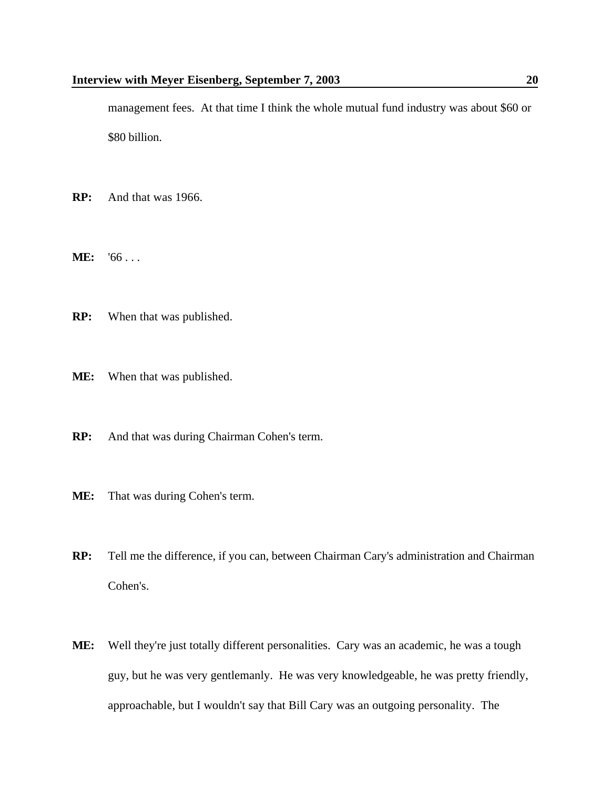management fees. At that time I think the whole mutual fund industry was about \$60 or \$80 billion.

- **RP:** And that was 1966.
- **ME:** '66 . . .
- **RP:** When that was published.
- **ME:** When that was published.
- **RP:** And that was during Chairman Cohen's term.
- **ME:** That was during Cohen's term.
- **RP:** Tell me the difference, if you can, between Chairman Cary's administration and Chairman Cohen's.
- **ME:** Well they're just totally different personalities. Cary was an academic, he was a tough guy, but he was very gentlemanly. He was very knowledgeable, he was pretty friendly, approachable, but I wouldn't say that Bill Cary was an outgoing personality. The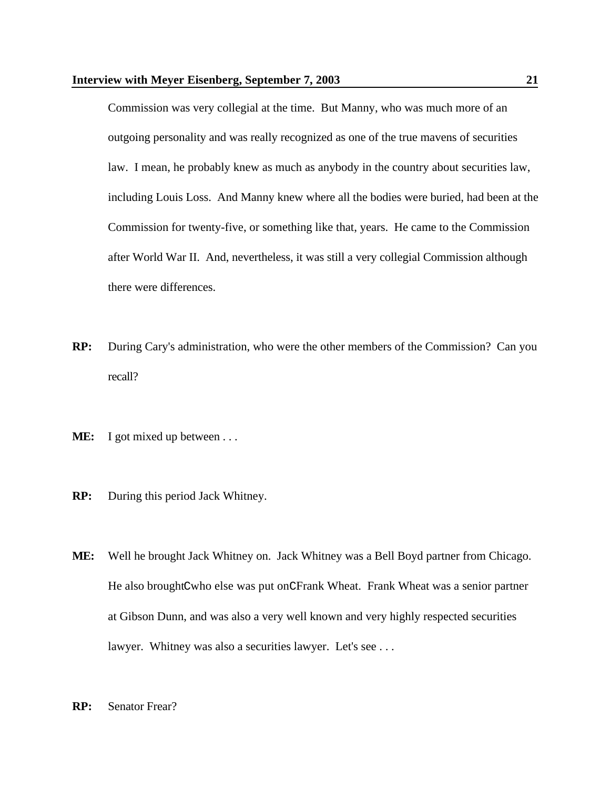Commission was very collegial at the time. But Manny, who was much more of an outgoing personality and was really recognized as one of the true mavens of securities law. I mean, he probably knew as much as anybody in the country about securities law, including Louis Loss. And Manny knew where all the bodies were buried, had been at the Commission for twenty-five, or something like that, years. He came to the Commission after World War II. And, nevertheless, it was still a very collegial Commission although there were differences.

- **RP:** During Cary's administration, who were the other members of the Commission? Can you recall?
- **ME:** I got mixed up between . . .
- **RP:** During this period Jack Whitney.
- **ME:** Well he brought Jack Whitney on. Jack Whitney was a Bell Boyd partner from Chicago. He also broughtCwho else was put onCFrank Wheat. Frank Wheat was a senior partner at Gibson Dunn, and was also a very well known and very highly respected securities lawyer. Whitney was also a securities lawyer. Let's see ...
- **RP:** Senator Frear?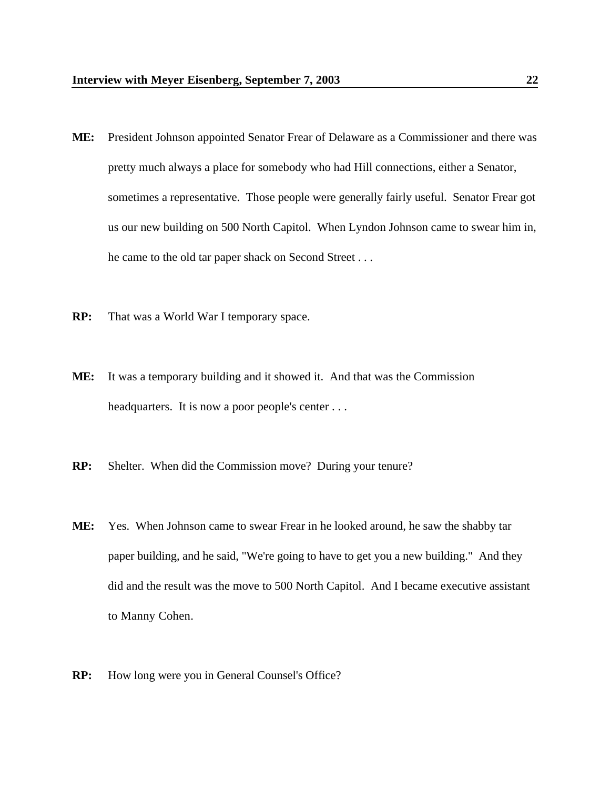- **ME:** President Johnson appointed Senator Frear of Delaware as a Commissioner and there was pretty much always a place for somebody who had Hill connections, either a Senator, sometimes a representative. Those people were generally fairly useful. Senator Frear got us our new building on 500 North Capitol. When Lyndon Johnson came to swear him in, he came to the old tar paper shack on Second Street . . .
- **RP:** That was a World War I temporary space.
- **ME:** It was a temporary building and it showed it. And that was the Commission headquarters. It is now a poor people's center . . .
- **RP:** Shelter. When did the Commission move? During your tenure?
- **ME:** Yes. When Johnson came to swear Frear in he looked around, he saw the shabby tar paper building, and he said, "We're going to have to get you a new building." And they did and the result was the move to 500 North Capitol. And I became executive assistant to Manny Cohen.
- **RP:** How long were you in General Counsel's Office?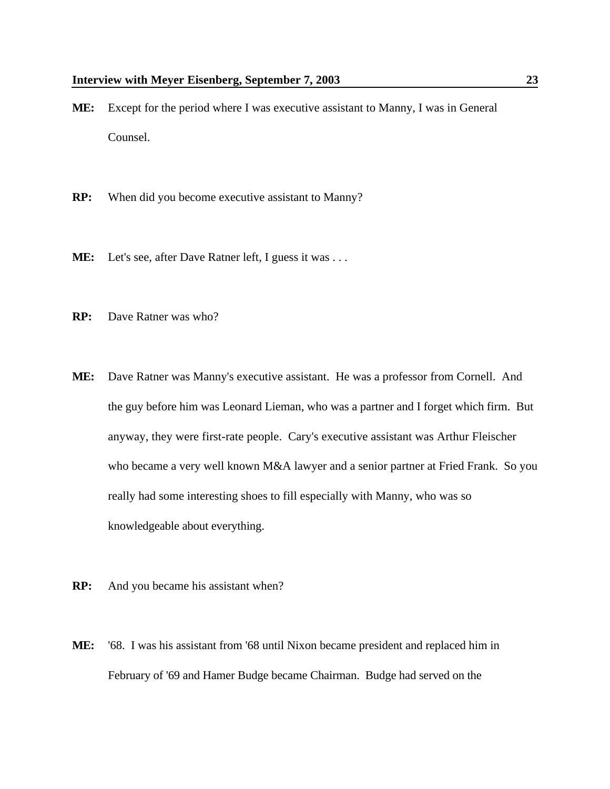- **ME:** Except for the period where I was executive assistant to Manny, I was in General Counsel.
- **RP:** When did you become executive assistant to Manny?
- **ME:** Let's see, after Dave Ratner left, I guess it was . . .
- **RP:** Dave Ratner was who?
- **ME:** Dave Ratner was Manny's executive assistant. He was a professor from Cornell. And the guy before him was Leonard Lieman, who was a partner and I forget which firm. But anyway, they were first-rate people. Cary's executive assistant was Arthur Fleischer who became a very well known M&A lawyer and a senior partner at Fried Frank. So you really had some interesting shoes to fill especially with Manny, who was so knowledgeable about everything.
- **RP:** And you became his assistant when?
- **ME:** '68. I was his assistant from '68 until Nixon became president and replaced him in February of '69 and Hamer Budge became Chairman. Budge had served on the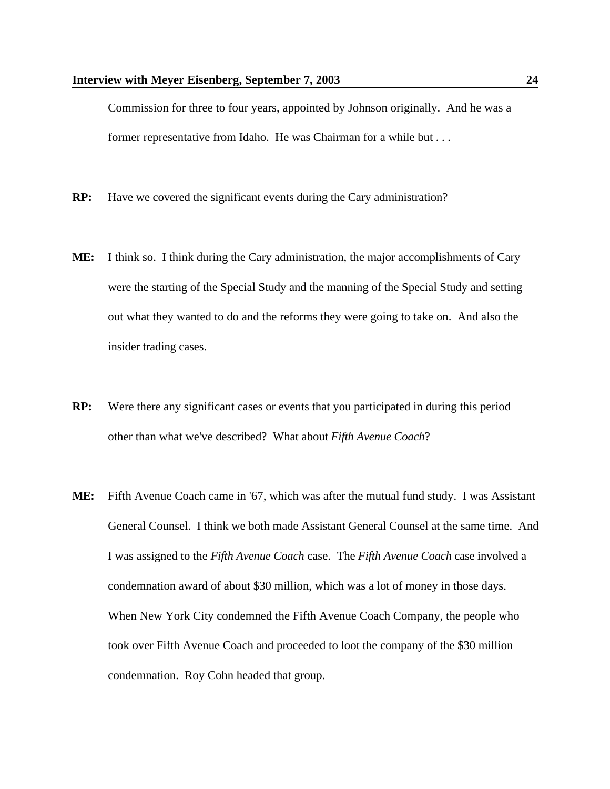Commission for three to four years, appointed by Johnson originally. And he was a former representative from Idaho. He was Chairman for a while but . . .

- **RP:** Have we covered the significant events during the Cary administration?
- **ME:** I think so. I think during the Cary administration, the major accomplishments of Cary were the starting of the Special Study and the manning of the Special Study and setting out what they wanted to do and the reforms they were going to take on. And also the insider trading cases.
- **RP:** Were there any significant cases or events that you participated in during this period other than what we've described? What about *Fifth Avenue Coach*?
- **ME:** Fifth Avenue Coach came in '67, which was after the mutual fund study. I was Assistant General Counsel. I think we both made Assistant General Counsel at the same time. And I was assigned to the *Fifth Avenue Coach* case. The *Fifth Avenue Coach* case involved a condemnation award of about \$30 million, which was a lot of money in those days. When New York City condemned the Fifth Avenue Coach Company, the people who took over Fifth Avenue Coach and proceeded to loot the company of the \$30 million condemnation. Roy Cohn headed that group.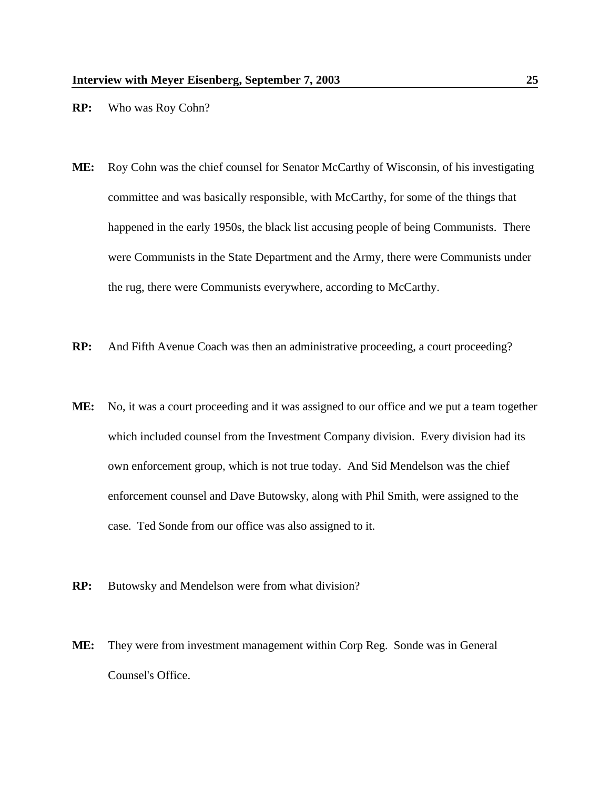- **RP:** Who was Roy Cohn?
- **ME:** Roy Cohn was the chief counsel for Senator McCarthy of Wisconsin, of his investigating committee and was basically responsible, with McCarthy, for some of the things that happened in the early 1950s, the black list accusing people of being Communists. There were Communists in the State Department and the Army, there were Communists under the rug, there were Communists everywhere, according to McCarthy.
- **RP:** And Fifth Avenue Coach was then an administrative proceeding, a court proceeding?
- **ME:** No, it was a court proceeding and it was assigned to our office and we put a team together which included counsel from the Investment Company division. Every division had its own enforcement group, which is not true today. And Sid Mendelson was the chief enforcement counsel and Dave Butowsky, along with Phil Smith, were assigned to the case. Ted Sonde from our office was also assigned to it.
- **RP:** Butowsky and Mendelson were from what division?
- **ME:** They were from investment management within Corp Reg. Sonde was in General Counsel's Office.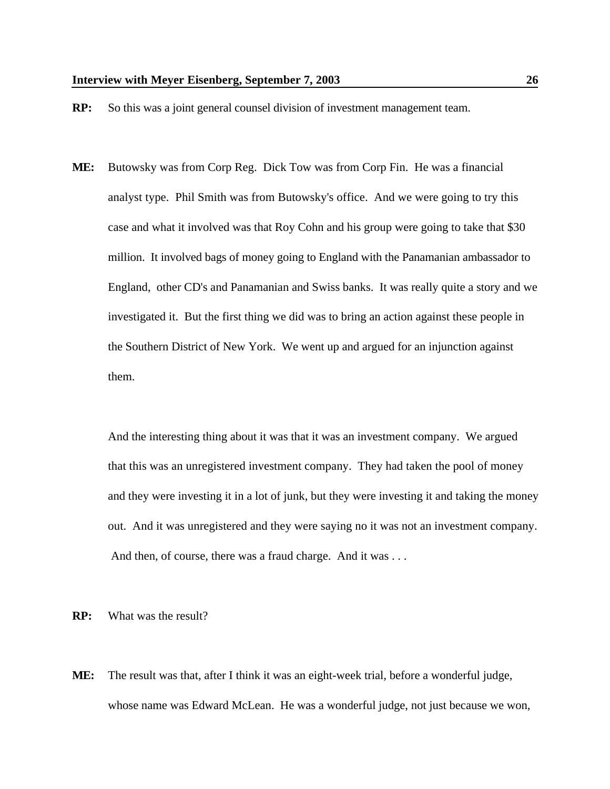- **RP:** So this was a joint general counsel division of investment management team.
- **ME:** Butowsky was from Corp Reg. Dick Tow was from Corp Fin. He was a financial analyst type. Phil Smith was from Butowsky's office. And we were going to try this case and what it involved was that Roy Cohn and his group were going to take that \$30 million. It involved bags of money going to England with the Panamanian ambassador to England, other CD's and Panamanian and Swiss banks. It was really quite a story and we investigated it. But the first thing we did was to bring an action against these people in the Southern District of New York. We went up and argued for an injunction against them.

And the interesting thing about it was that it was an investment company. We argued that this was an unregistered investment company. They had taken the pool of money and they were investing it in a lot of junk, but they were investing it and taking the money out. And it was unregistered and they were saying no it was not an investment company. And then, of course, there was a fraud charge. And it was ...

**RP:** What was the result?

**ME:** The result was that, after I think it was an eight-week trial, before a wonderful judge, whose name was Edward McLean. He was a wonderful judge, not just because we won,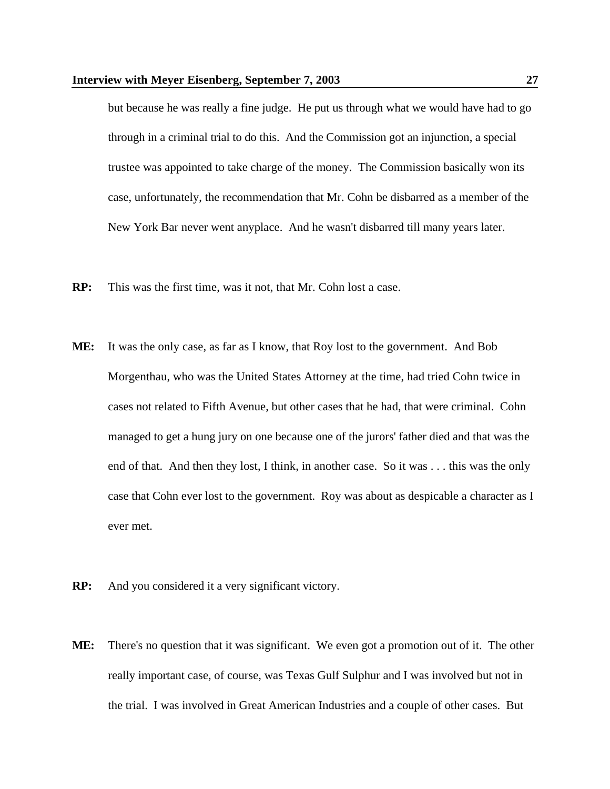but because he was really a fine judge. He put us through what we would have had to go through in a criminal trial to do this. And the Commission got an injunction, a special trustee was appointed to take charge of the money. The Commission basically won its case, unfortunately, the recommendation that Mr. Cohn be disbarred as a member of the New York Bar never went anyplace. And he wasn't disbarred till many years later.

- **RP:** This was the first time, was it not, that Mr. Cohn lost a case.
- **ME:** It was the only case, as far as I know, that Roy lost to the government. And Bob Morgenthau, who was the United States Attorney at the time, had tried Cohn twice in cases not related to Fifth Avenue, but other cases that he had, that were criminal. Cohn managed to get a hung jury on one because one of the jurors' father died and that was the end of that. And then they lost, I think, in another case. So it was . . . this was the only case that Cohn ever lost to the government. Roy was about as despicable a character as I ever met.
- **RP:** And you considered it a very significant victory.
- **ME:** There's no question that it was significant. We even got a promotion out of it. The other really important case, of course, was Texas Gulf Sulphur and I was involved but not in the trial. I was involved in Great American Industries and a couple of other cases. But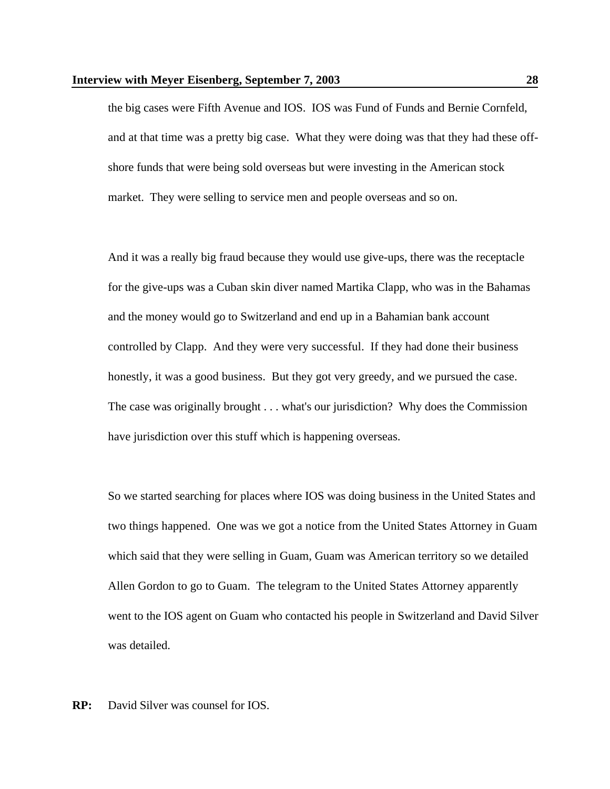the big cases were Fifth Avenue and IOS. IOS was Fund of Funds and Bernie Cornfeld, and at that time was a pretty big case. What they were doing was that they had these offshore funds that were being sold overseas but were investing in the American stock market. They were selling to service men and people overseas and so on.

And it was a really big fraud because they would use give-ups, there was the receptacle for the give-ups was a Cuban skin diver named Martika Clapp, who was in the Bahamas and the money would go to Switzerland and end up in a Bahamian bank account controlled by Clapp. And they were very successful. If they had done their business honestly, it was a good business. But they got very greedy, and we pursued the case. The case was originally brought . . . what's our jurisdiction? Why does the Commission have jurisdiction over this stuff which is happening overseas.

So we started searching for places where IOS was doing business in the United States and two things happened. One was we got a notice from the United States Attorney in Guam which said that they were selling in Guam, Guam was American territory so we detailed Allen Gordon to go to Guam. The telegram to the United States Attorney apparently went to the IOS agent on Guam who contacted his people in Switzerland and David Silver was detailed.

**RP:** David Silver was counsel for IOS.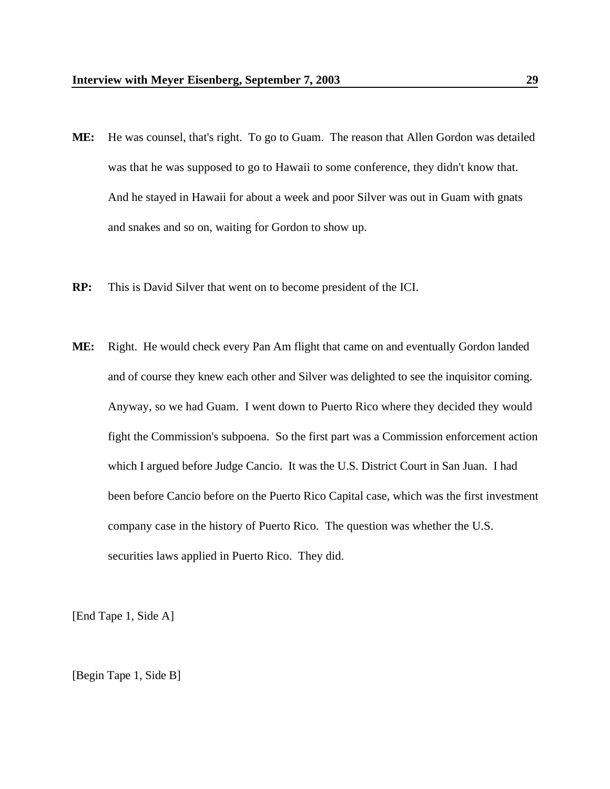- **ME:** He was counsel, that's right. To go to Guam. The reason that Allen Gordon was detailed was that he was supposed to go to Hawaii to some conference, they didn't know that. And he stayed in Hawaii for about a week and poor Silver was out in Guam with gnats and snakes and so on, waiting for Gordon to show up.
- **RP:** This is David Silver that went on to become president of the ICI.
- **ME:** Right. He would check every Pan Am flight that came on and eventually Gordon landed and of course they knew each other and Silver was delighted to see the inquisitor coming. Anyway, so we had Guam. I went down to Puerto Rico where they decided they would fight the Commission's subpoena. So the first part was a Commission enforcement action which I argued before Judge Cancio. It was the U.S. District Court in San Juan. I had been before Cancio before on the Puerto Rico Capital case, which was the first investment company case in the history of Puerto Rico. The question was whether the U.S. securities laws applied in Puerto Rico. They did.

[End Tape 1, Side A]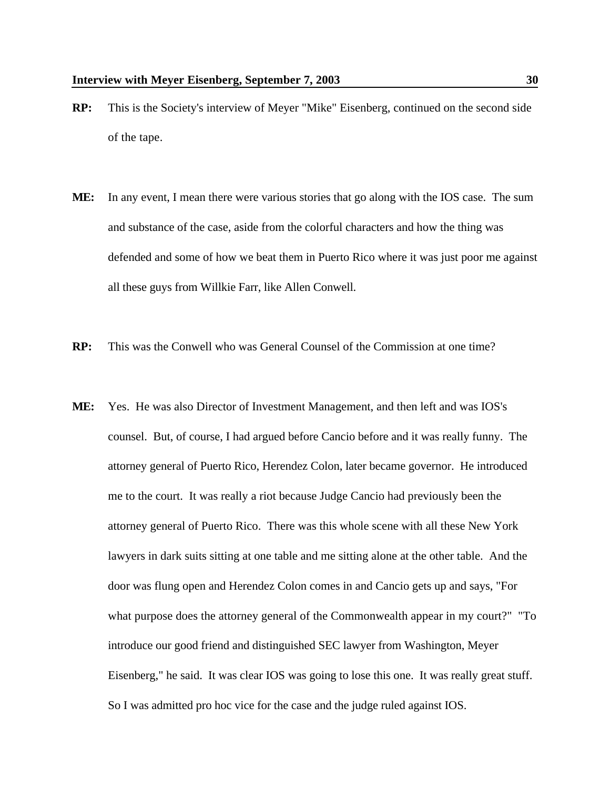- **RP:** This is the Society's interview of Meyer "Mike" Eisenberg, continued on the second side of the tape.
- **ME:** In any event, I mean there were various stories that go along with the IOS case. The sum and substance of the case, aside from the colorful characters and how the thing was defended and some of how we beat them in Puerto Rico where it was just poor me against all these guys from Willkie Farr, like Allen Conwell.
- **RP:** This was the Conwell who was General Counsel of the Commission at one time?
- **ME:** Yes. He was also Director of Investment Management, and then left and was IOS's counsel. But, of course, I had argued before Cancio before and it was really funny. The attorney general of Puerto Rico, Herendez Colon, later became governor. He introduced me to the court. It was really a riot because Judge Cancio had previously been the attorney general of Puerto Rico. There was this whole scene with all these New York lawyers in dark suits sitting at one table and me sitting alone at the other table. And the door was flung open and Herendez Colon comes in and Cancio gets up and says, "For what purpose does the attorney general of the Commonwealth appear in my court?" "To introduce our good friend and distinguished SEC lawyer from Washington, Meyer Eisenberg," he said. It was clear IOS was going to lose this one. It was really great stuff. So I was admitted pro hoc vice for the case and the judge ruled against IOS.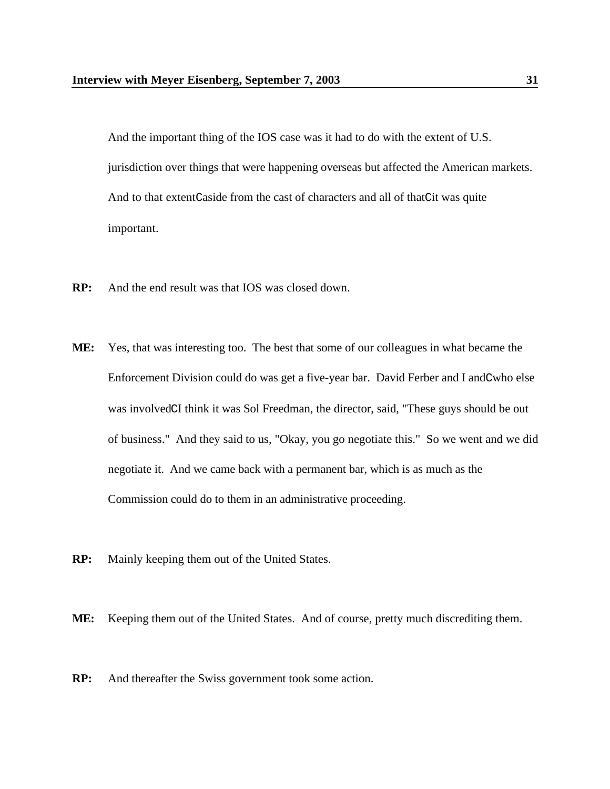And the important thing of the IOS case was it had to do with the extent of U.S. jurisdiction over things that were happening overseas but affected the American markets. And to that extentCaside from the cast of characters and all of thatCit was quite important.

- **RP:** And the end result was that IOS was closed down.
- **ME:** Yes, that was interesting too. The best that some of our colleagues in what became the Enforcement Division could do was get a five-year bar. David Ferber and I andCwho else was involvedCI think it was Sol Freedman, the director, said, "These guys should be out of business." And they said to us, "Okay, you go negotiate this." So we went and we did negotiate it. And we came back with a permanent bar, which is as much as the Commission could do to them in an administrative proceeding.
- **RP:** Mainly keeping them out of the United States.

**ME:** Keeping them out of the United States. And of course, pretty much discrediting them.

**RP:** And thereafter the Swiss government took some action.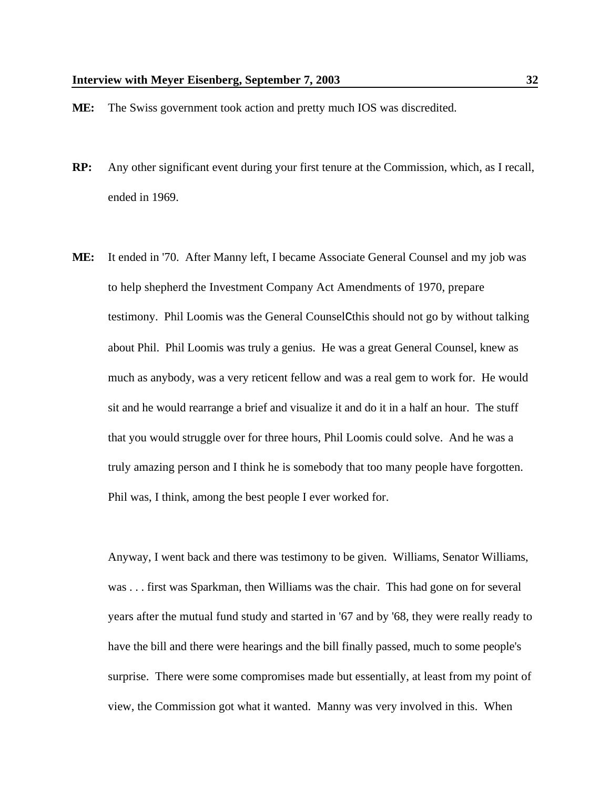- **ME:** The Swiss government took action and pretty much IOS was discredited.
- **RP:** Any other significant event during your first tenure at the Commission, which, as I recall, ended in 1969.
- **ME:** It ended in '70. After Manny left, I became Associate General Counsel and my job was to help shepherd the Investment Company Act Amendments of 1970, prepare testimony. Phil Loomis was the General CounselCthis should not go by without talking about Phil. Phil Loomis was truly a genius. He was a great General Counsel, knew as much as anybody, was a very reticent fellow and was a real gem to work for. He would sit and he would rearrange a brief and visualize it and do it in a half an hour. The stuff that you would struggle over for three hours, Phil Loomis could solve. And he was a truly amazing person and I think he is somebody that too many people have forgotten. Phil was, I think, among the best people I ever worked for.

Anyway, I went back and there was testimony to be given. Williams, Senator Williams, was . . . first was Sparkman, then Williams was the chair. This had gone on for several years after the mutual fund study and started in '67 and by '68, they were really ready to have the bill and there were hearings and the bill finally passed, much to some people's surprise. There were some compromises made but essentially, at least from my point of view, the Commission got what it wanted. Manny was very involved in this. When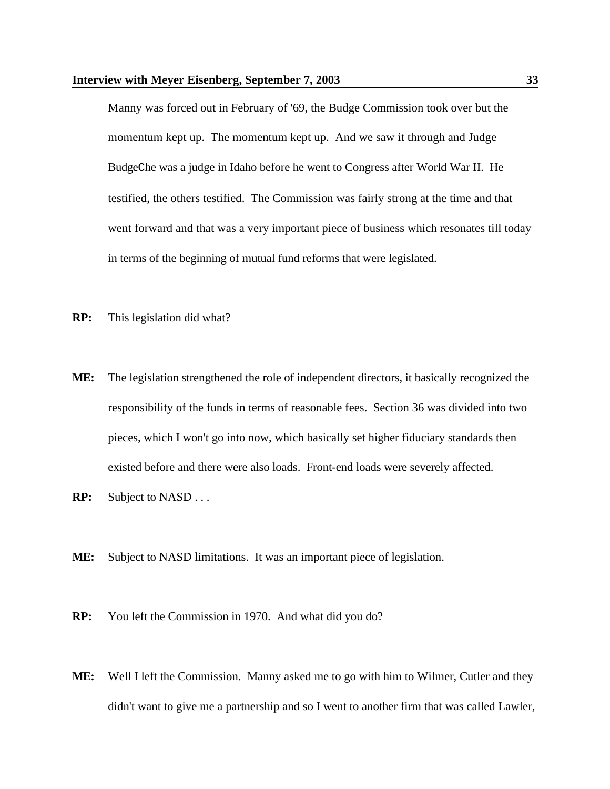Manny was forced out in February of '69, the Budge Commission took over but the momentum kept up. The momentum kept up. And we saw it through and Judge BudgeChe was a judge in Idaho before he went to Congress after World War II. He testified, the others testified. The Commission was fairly strong at the time and that went forward and that was a very important piece of business which resonates till today in terms of the beginning of mutual fund reforms that were legislated.

- **RP:** This legislation did what?
- **ME:** The legislation strengthened the role of independent directors, it basically recognized the responsibility of the funds in terms of reasonable fees. Section 36 was divided into two pieces, which I won't go into now, which basically set higher fiduciary standards then existed before and there were also loads. Front-end loads were severely affected.
- **RP:** Subject to NASD . . .
- **ME:** Subject to NASD limitations. It was an important piece of legislation.
- **RP:** You left the Commission in 1970. And what did you do?
- **ME:** Well I left the Commission. Manny asked me to go with him to Wilmer, Cutler and they didn't want to give me a partnership and so I went to another firm that was called Lawler,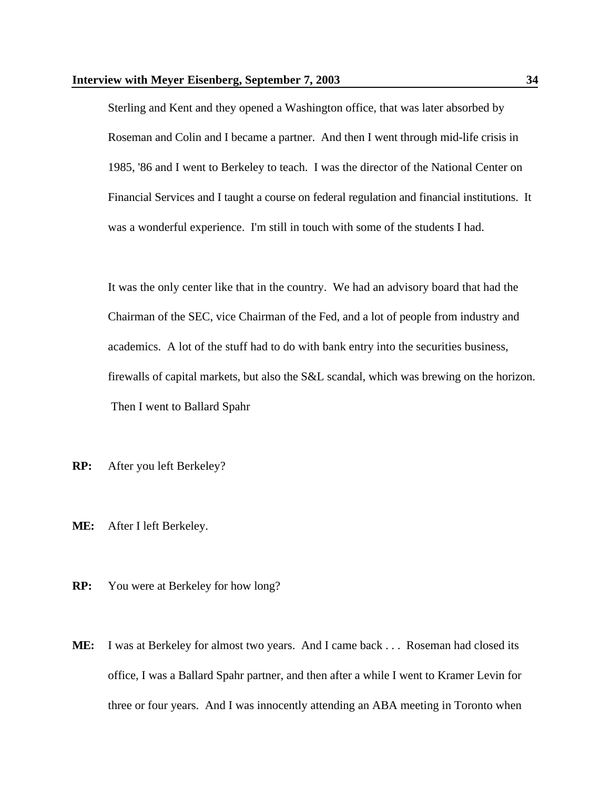Sterling and Kent and they opened a Washington office, that was later absorbed by Roseman and Colin and I became a partner. And then I went through mid-life crisis in 1985, '86 and I went to Berkeley to teach. I was the director of the National Center on Financial Services and I taught a course on federal regulation and financial institutions. It was a wonderful experience. I'm still in touch with some of the students I had.

It was the only center like that in the country. We had an advisory board that had the Chairman of the SEC, vice Chairman of the Fed, and a lot of people from industry and academics. A lot of the stuff had to do with bank entry into the securities business, firewalls of capital markets, but also the S&L scandal, which was brewing on the horizon. Then I went to Ballard Spahr

- **RP:** After you left Berkeley?
- **ME:** After I left Berkeley.
- **RP:** You were at Berkeley for how long?
- **ME:** I was at Berkeley for almost two years. And I came back . . . Roseman had closed its office, I was a Ballard Spahr partner, and then after a while I went to Kramer Levin for three or four years. And I was innocently attending an ABA meeting in Toronto when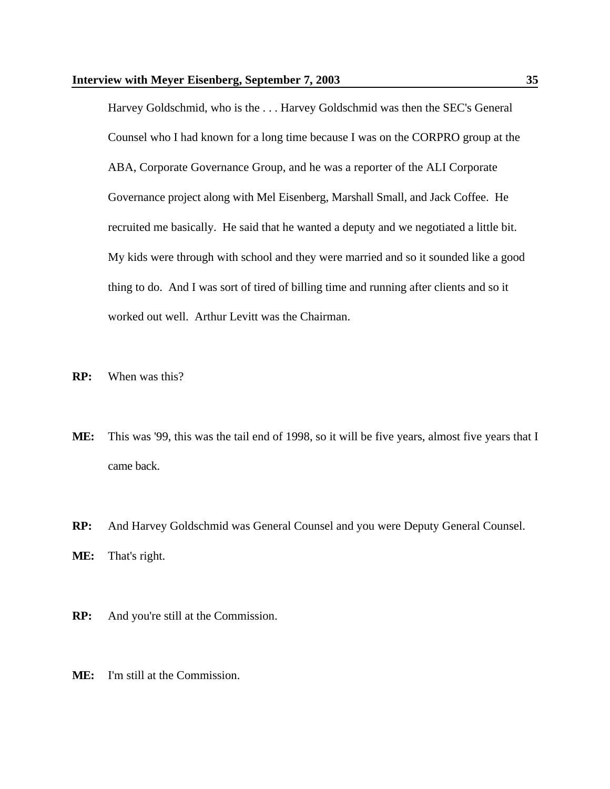Harvey Goldschmid, who is the . . . Harvey Goldschmid was then the SEC's General Counsel who I had known for a long time because I was on the CORPRO group at the ABA, Corporate Governance Group, and he was a reporter of the ALI Corporate Governance project along with Mel Eisenberg, Marshall Small, and Jack Coffee. He recruited me basically. He said that he wanted a deputy and we negotiated a little bit. My kids were through with school and they were married and so it sounded like a good thing to do. And I was sort of tired of billing time and running after clients and so it worked out well. Arthur Levitt was the Chairman.

- **RP:** When was this?
- **ME:** This was '99, this was the tail end of 1998, so it will be five years, almost five years that I came back.
- **RP:** And Harvey Goldschmid was General Counsel and you were Deputy General Counsel.

**ME:** That's right.

- **RP:** And you're still at the Commission.
- **ME:** I'm still at the Commission.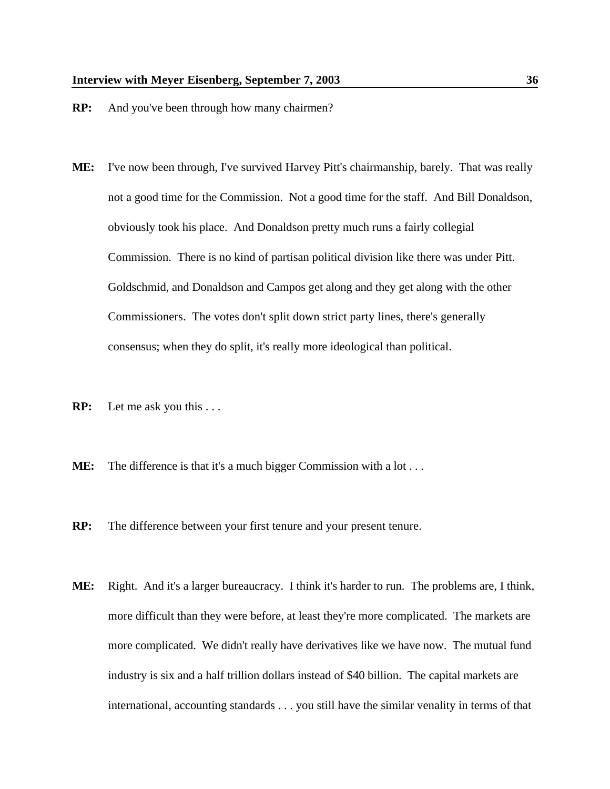- **RP:** And you've been through how many chairmen?
- **ME:** I've now been through, I've survived Harvey Pitt's chairmanship, barely. That was really not a good time for the Commission. Not a good time for the staff. And Bill Donaldson, obviously took his place. And Donaldson pretty much runs a fairly collegial Commission. There is no kind of partisan political division like there was under Pitt. Goldschmid, and Donaldson and Campos get along and they get along with the other Commissioners. The votes don't split down strict party lines, there's generally consensus; when they do split, it's really more ideological than political.
- **RP:** Let me ask you this . . .
- **ME:** The difference is that it's a much bigger Commission with a lot ...
- **RP:** The difference between your first tenure and your present tenure.
- **ME:** Right. And it's a larger bureaucracy. I think it's harder to run. The problems are, I think, more difficult than they were before, at least they're more complicated. The markets are more complicated. We didn't really have derivatives like we have now. The mutual fund industry is six and a half trillion dollars instead of \$40 billion. The capital markets are international, accounting standards . . . you still have the similar venality in terms of that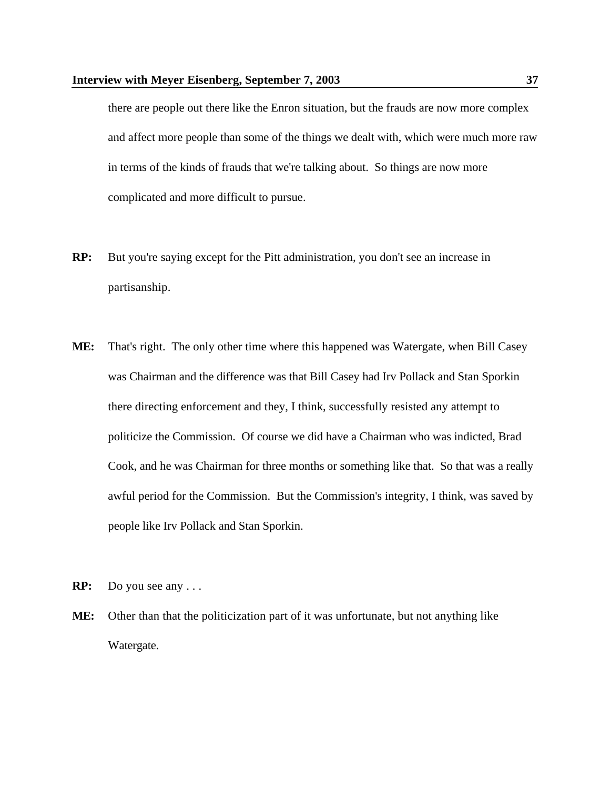there are people out there like the Enron situation, but the frauds are now more complex and affect more people than some of the things we dealt with, which were much more raw in terms of the kinds of frauds that we're talking about. So things are now more complicated and more difficult to pursue.

- **RP:** But you're saying except for the Pitt administration, you don't see an increase in partisanship.
- **ME:** That's right. The only other time where this happened was Watergate, when Bill Casey was Chairman and the difference was that Bill Casey had Irv Pollack and Stan Sporkin there directing enforcement and they, I think, successfully resisted any attempt to politicize the Commission. Of course we did have a Chairman who was indicted, Brad Cook, and he was Chairman for three months or something like that. So that was a really awful period for the Commission. But the Commission's integrity, I think, was saved by people like Irv Pollack and Stan Sporkin.
- **RP:** Do you see any . . .
- **ME:** Other than that the politicization part of it was unfortunate, but not anything like Watergate.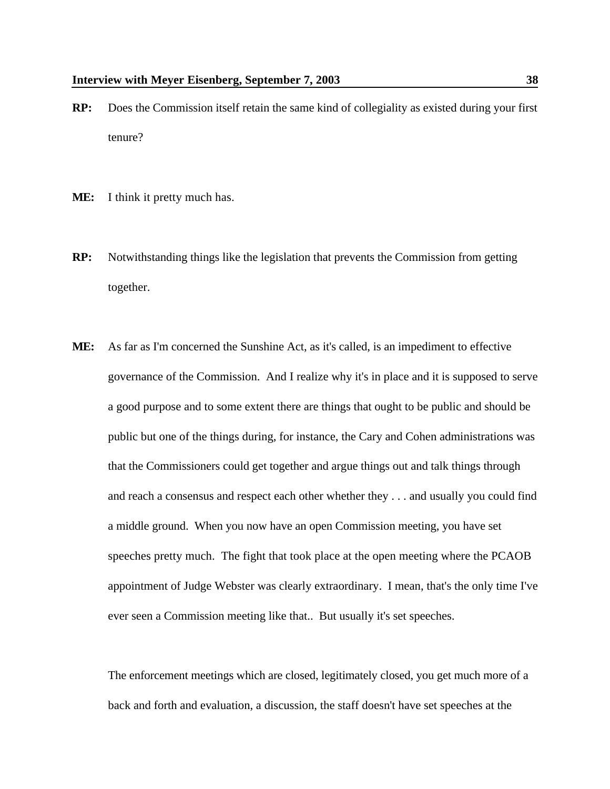- **RP:** Does the Commission itself retain the same kind of collegiality as existed during your first tenure?
- **ME:** I think it pretty much has.
- **RP:** Notwithstanding things like the legislation that prevents the Commission from getting together.
- **ME:** As far as I'm concerned the Sunshine Act, as it's called, is an impediment to effective governance of the Commission. And I realize why it's in place and it is supposed to serve a good purpose and to some extent there are things that ought to be public and should be public but one of the things during, for instance, the Cary and Cohen administrations was that the Commissioners could get together and argue things out and talk things through and reach a consensus and respect each other whether they . . . and usually you could find a middle ground. When you now have an open Commission meeting, you have set speeches pretty much. The fight that took place at the open meeting where the PCAOB appointment of Judge Webster was clearly extraordinary. I mean, that's the only time I've ever seen a Commission meeting like that.. But usually it's set speeches.

The enforcement meetings which are closed, legitimately closed, you get much more of a back and forth and evaluation, a discussion, the staff doesn't have set speeches at the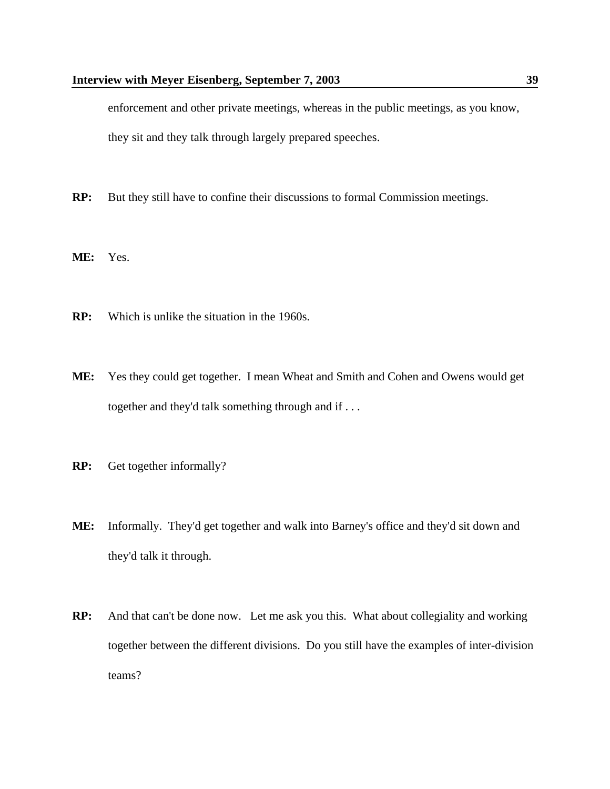enforcement and other private meetings, whereas in the public meetings, as you know, they sit and they talk through largely prepared speeches.

- **RP:** But they still have to confine their discussions to formal Commission meetings.
- **ME:** Yes.
- **RP:** Which is unlike the situation in the 1960s.
- **ME:** Yes they could get together. I mean Wheat and Smith and Cohen and Owens would get together and they'd talk something through and if . . .
- **RP:** Get together informally?
- **ME:** Informally. They'd get together and walk into Barney's office and they'd sit down and they'd talk it through.
- **RP:** And that can't be done now. Let me ask you this. What about collegiality and working together between the different divisions. Do you still have the examples of inter-division teams?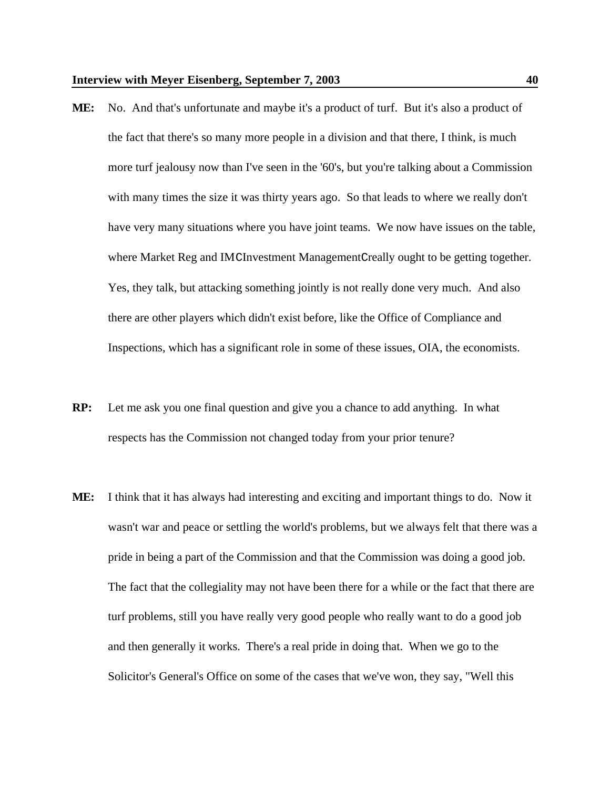- **ME:** No. And that's unfortunate and maybe it's a product of turf. But it's also a product of the fact that there's so many more people in a division and that there, I think, is much more turf jealousy now than I've seen in the '60's, but you're talking about a Commission with many times the size it was thirty years ago. So that leads to where we really don't have very many situations where you have joint teams. We now have issues on the table, where Market Reg and IMCInvestment ManagementCreally ought to be getting together. Yes, they talk, but attacking something jointly is not really done very much. And also there are other players which didn't exist before, like the Office of Compliance and Inspections, which has a significant role in some of these issues, OIA, the economists.
- **RP:** Let me ask you one final question and give you a chance to add anything. In what respects has the Commission not changed today from your prior tenure?
- **ME:** I think that it has always had interesting and exciting and important things to do. Now it wasn't war and peace or settling the world's problems, but we always felt that there was a pride in being a part of the Commission and that the Commission was doing a good job. The fact that the collegiality may not have been there for a while or the fact that there are turf problems, still you have really very good people who really want to do a good job and then generally it works. There's a real pride in doing that. When we go to the Solicitor's General's Office on some of the cases that we've won, they say, "Well this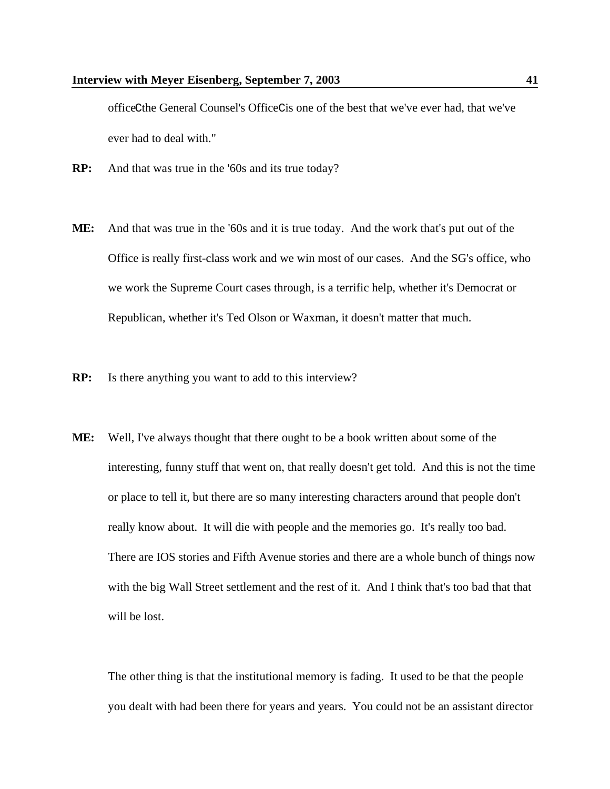officeCthe General Counsel's OfficeCis one of the best that we've ever had, that we've ever had to deal with."

- **RP:** And that was true in the '60s and its true today?
- **ME:** And that was true in the '60s and it is true today. And the work that's put out of the Office is really first-class work and we win most of our cases. And the SG's office, who we work the Supreme Court cases through, is a terrific help, whether it's Democrat or Republican, whether it's Ted Olson or Waxman, it doesn't matter that much.
- **RP:** Is there anything you want to add to this interview?
- **ME:** Well, I've always thought that there ought to be a book written about some of the interesting, funny stuff that went on, that really doesn't get told. And this is not the time or place to tell it, but there are so many interesting characters around that people don't really know about. It will die with people and the memories go. It's really too bad. There are IOS stories and Fifth Avenue stories and there are a whole bunch of things now with the big Wall Street settlement and the rest of it. And I think that's too bad that that will be lost.

The other thing is that the institutional memory is fading. It used to be that the people you dealt with had been there for years and years. You could not be an assistant director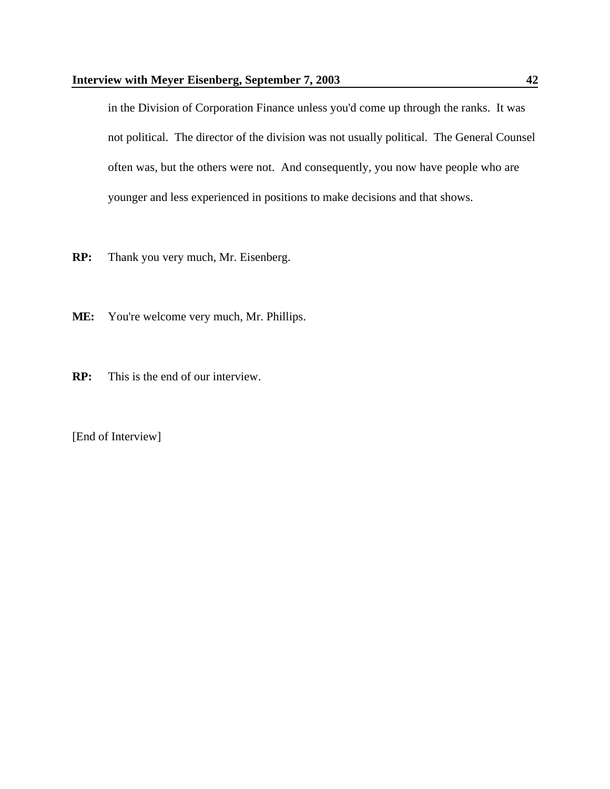in the Division of Corporation Finance unless you'd come up through the ranks. It was not political. The director of the division was not usually political. The General Counsel often was, but the others were not. And consequently, you now have people who are younger and less experienced in positions to make decisions and that shows.

- **RP:** Thank you very much, Mr. Eisenberg.
- **ME:** You're welcome very much, Mr. Phillips.
- **RP:** This is the end of our interview.

[End of Interview]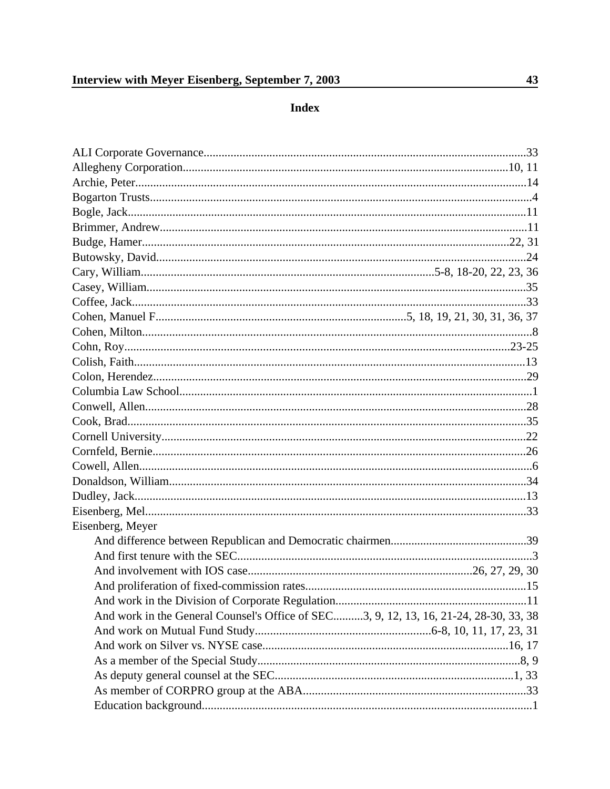## Index

| Eisenberg, Meyer                                                                      |  |
|---------------------------------------------------------------------------------------|--|
|                                                                                       |  |
|                                                                                       |  |
|                                                                                       |  |
|                                                                                       |  |
|                                                                                       |  |
| And work in the General Counsel's Office of SEC3, 9, 12, 13, 16, 21-24, 28-30, 33, 38 |  |
|                                                                                       |  |
|                                                                                       |  |
|                                                                                       |  |
|                                                                                       |  |
|                                                                                       |  |
|                                                                                       |  |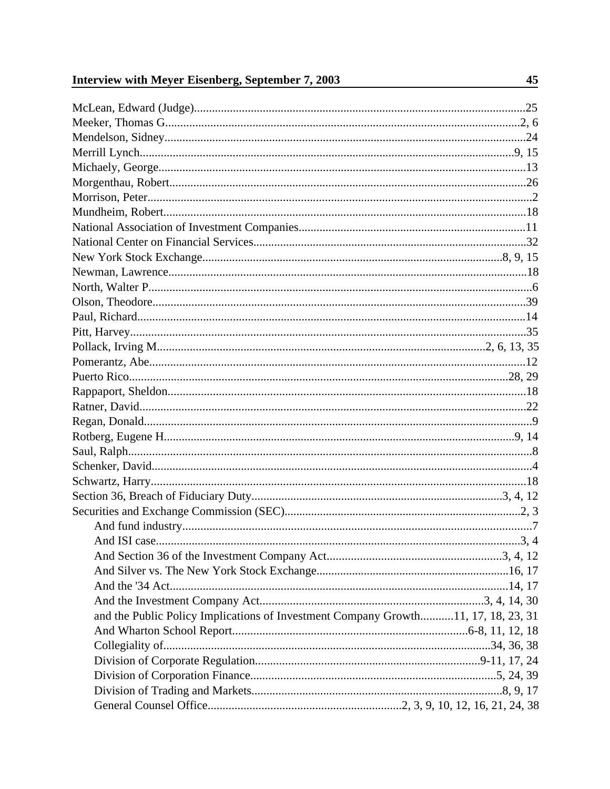| and the Public Policy Implications of Investment Company Growth11, 17, 18, 23, 31 |  |
|-----------------------------------------------------------------------------------|--|
|                                                                                   |  |
|                                                                                   |  |
|                                                                                   |  |
|                                                                                   |  |
|                                                                                   |  |
|                                                                                   |  |